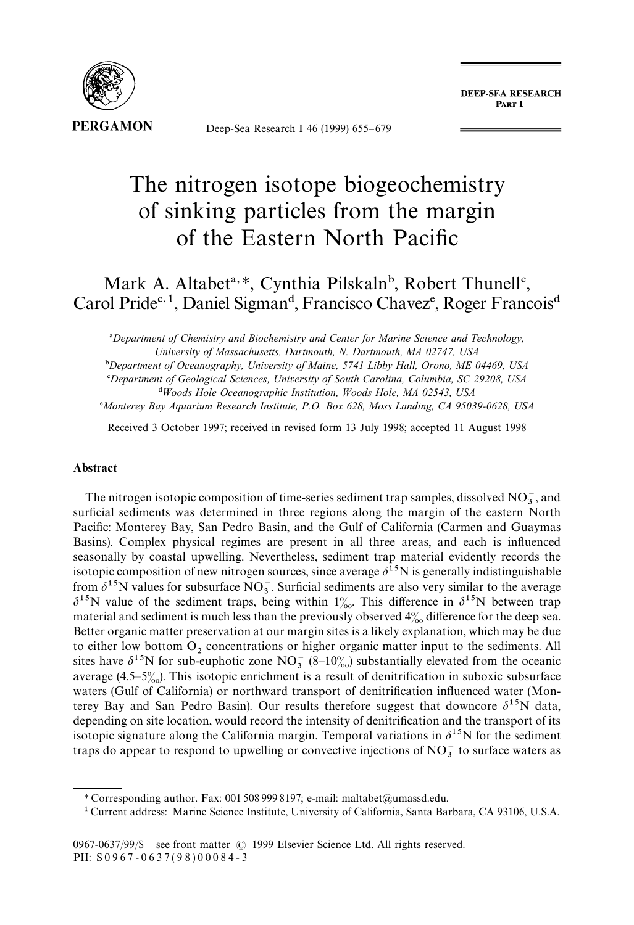

Deep-Sea Research I 46 (1999) 655*—*679

**DEEP-SEA RESEARCH** PART I

# The nitrogen isotope biogeochemistry of sinking particles from the margin of the Eastern North Pacific

## Mark A. Altabet<sup>a, \*</sup>, Cynthia Pilskaln<sup>b</sup>, Robert Thunell<sup>c</sup>, Carol Pride<sup>c, 1</sup>, Daniel Sigman<sup>d</sup>, Francisco Chavez<sup>e</sup>, Roger Francois<sup>d</sup>

!*Department of Chemistry and Biochemistry and Center for Marine Science and Technology, University of Massachusetts, Dartmouth, N. Dartmouth, MA 02747, USA*

"*Department of Oceanography, University of Maine, 5741 Libby Hall, Orono, ME 04469, USA* #*Department of Geological Sciences, University of South Carolina, Columbia, SC 29208, USA* \$*Woods Hole Oceanographic Institution, Woods Hole, MA 02543, USA*

%*Monterey Bay Aquarium Research Institute, P.O. Box 628, Moss Landing, CA 95039-0628, USA*

Received 3 October 1997; received in revised form 13 July 1998; accepted 11 August 1998

#### Abstract

The nitrogen isotopic composition of time-series sediment trap samples, dissolved  $NO_3^-$ , and surficial sediments was determined in three regions along the margin of the eastern North Pacific: Monterey Bay, San Pedro Basin, and the Gulf of California (Carmen and Guaymas Basins). Complex physical regimes are present in all three areas, and each is influenced seasonally by coastal upwelling. Nevertheless, sediment trap material evidently records the isotopic composition of new nitrogen sources, since average  $\delta^{15}N$  is generally indistinguishable from  $\delta^{15}$ N values for subsurface NO<sub>3</sub>. Surficial sediments are also very similar to the average  $\delta^{15}$ N value of the sediment traps, being within  $1\%$ . This difference in  $\delta^{15}$ N between trap material and sediment is much less than the previously observed  $4\%$  difference for the deep sea. Better organic matter preservation at our margin sites is a likely explanation, which may be due to either low bottom  $O<sub>2</sub>$  concentrations or higher organic matter input to the sediments. All sites have  $\delta^{15}$ N for sub-euphotic zone NO<sub>3</sub> (8–10<sub>%)</sub> substantially elevated from the oceanic average (4.5–5<sup>o</sup><sub>00</sub>). This isotopic enrichment is a result of denitrification in suboxic subsurface waters (Gulf of California) or northward transport of denitrification influenced water (Monterey Bay and San Pedro Basin). Our results therefore suggest that downcore  $\delta^{15}N$  data, depending on site location, would record the intensity of denitrification and the transport of its isotopic signature along the California margin. Temporal variations in  $\delta^{15}N$  for the sediment traps do appear to respond to upwelling or convective injections of  $NO_3^-$  to surface waters as

*<sup>\*</sup>* Corresponding author. Fax: 001 508 999 8197; e-mail: maltabet@umassd.edu.

<sup>1</sup> Current address: Marine Science Institute, University of California, Santa Barbara, CA 93106, U.S.A.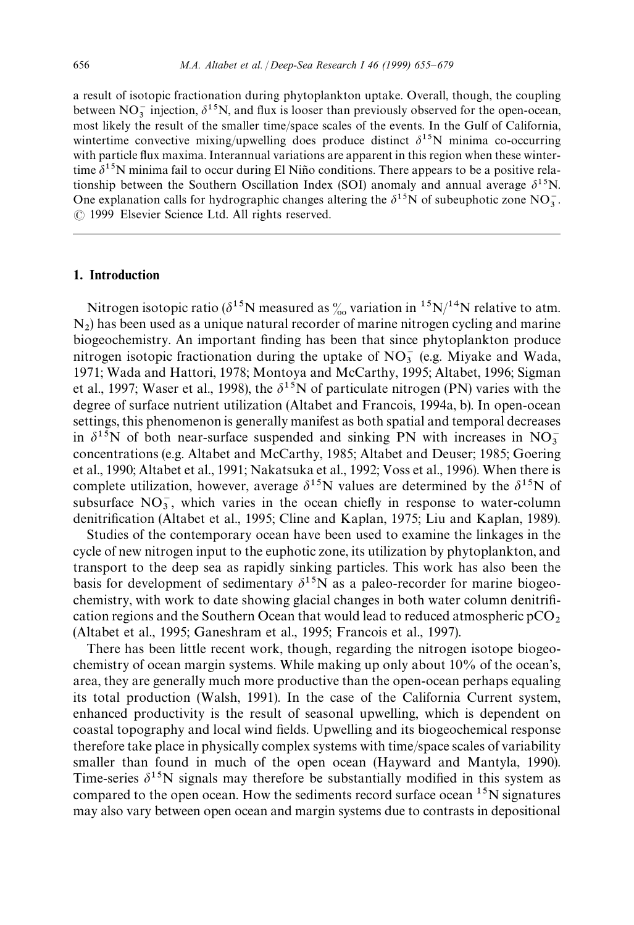a result of isotopic fractionation during phytoplankton uptake. Overall, though, the coupling between  $NO_3^-$  injection,  $\delta^{15}N$ , and flux is looser than previously observed for the open-ocean, most likely the result of the smaller time/space scales of the events. In the Gulf of California, wintertime convective mixing/upwelling does produce distinct  $\delta^{15}N$  minima co-occurring with particle flux maxima. Interannual variations are apparent in this region when these wintertime  $\delta^{15}$ N minima fail to occur during El Niño conditions. There appears to be a positive relationship between the Southern Oscillation Index (SOI) anomaly and annual average  $\delta^{15}N$ . One explanation calls for hydrographic changes altering the  $\delta^{15}N$  of subeuphotic zone  $NO_3^-$ . ( 1999 Elsevier Science Ltd. All rights reserved.

## 1. Introduction

Nitrogen isotopic ratio ( $\delta^{15}N$  measured as  $\%$  variation in  $^{15}N/^{14}N$  relative to atm. N2 ) has been used as a unique natural recorder of marine nitrogen cycling and marine biogeochemistry. An important finding has been that since phytoplankton produce nitrogen isotopic fractionation during the uptake of  $NO<sub>3</sub><sup>-</sup>$  (e.g. Miyake and Wada, 1971; Wada and Hattori, 1978; Montoya and McCarthy, 1995; Altabet, 1996; Sigman et al., 1997; Waser et al., 1998), the  $\delta^{15}N$  of particulate nitrogen (PN) varies with the degree of surface nutrient utilization (Altabet and Francois, 1994a, b). In open-ocean settings, this phenomenon is generally manifest as both spatial and temporal decreases in  $\delta^{15}N$  of both near-surface suspended and sinking PN with increases in NO<sub>3</sub> concentrations (e.g. Altabet and McCarthy, 1985; Altabet and Deuser; 1985; Goering et al., 1990; Altabet et al., 1991; Nakatsuka et al., 1992; Voss et al., 1996). When there is complete utilization, however, average  $\delta^{15}N$  values are determined by the  $\delta^{15}N$  of subsurface  $NO_3^-$ , which varies in the ocean chiefly in response to water-column denitrification (Altabet et al., 1995; Cline and Kaplan, 1975; Liu and Kaplan, 1989).

Studies of the contemporary ocean have been used to examine the linkages in the cycle of new nitrogen input to the euphotic zone, its utilization by phytoplankton, and transport to the deep sea as rapidly sinking particles. This work has also been the basis for development of sedimentary  $\delta^{15}$ N as a paleo-recorder for marine biogeochemistry, with work to date showing glacial changes in both water column denitrification regions and the Southern Ocean that would lead to reduced atmospheric  $pCO_2$ <br>(Altabet et al., 1995; Ganeshram et al., 1995; Francois et al., 1997).

There has been little recent work, though, regarding the nitrogen isotope biogeochemistry of ocean margin systems. While making up only about 10% of the ocean's, area, they are generally much more productive than the open-ocean perhaps equaling its total production (Walsh, 1991). In the case of the California Current system, enhanced productivity is the result of seasonal upwelling, which is dependent on coastal topography and local wind fields. Upwelling and its biogeochemical response therefore take place in physically complex systems with time/space scales of variability smaller than found in much of the open ocean (Hayward and Mantyla, 1990). Time-series  $\delta^{15}$ N signals may therefore be substantially modified in this system as compared to the open ocean. How the sediments record surface ocean <sup>15</sup>N signatures may also vary between open ocean and margin systems due to contrasts in depositional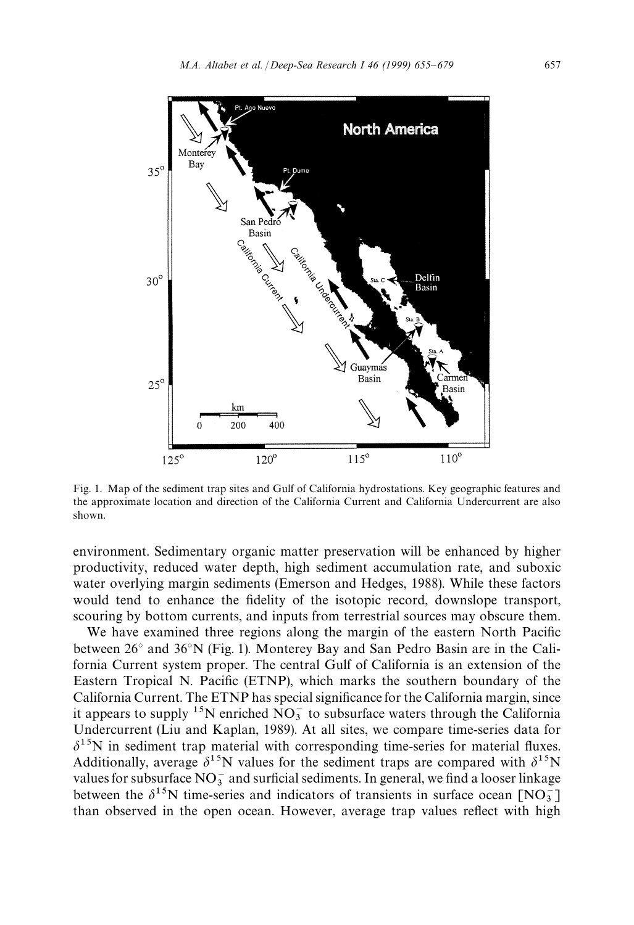

Fig. 1. Map of the sediment trap sites and Gulf of California hydrostations. Key geographic features and the approximate location and direction of the California Current and California Undercurrent are also shown.

environment. Sedimentary organic matter preservation will be enhanced by higher productivity, reduced water depth, high sediment accumulation rate, and suboxic water overlying margin sediments (Emerson and Hedges, 1988). While these factors would tend to enhance the fidelity of the isotopic record, downslope transport, scouring by bottom currents, and inputs from terrestrial sources may obscure them.

We have examined three regions along the margin of the eastern North Pacific between 26*°* and 36*°*N (Fig. 1). Monterey Bay and San Pedro Basin are in the California Current system proper. The central Gulf of California is an extension of the Eastern Tropical N. Pacific (ETNP), which marks the southern boundary of the California Current. The ETNP has special significance for the California margin, since it appears to supply <sup>15</sup>N enriched  $NO_3^-$  to subsurface waters through the California Undercurrent (Liu and Kaplan, 1989). At all sites, we compare time-series data for  $\delta^{15}$ N in sediment trap material with corresponding time-series for material fluxes. Additionally, average  $\delta^{15}N$  values for the sediment traps are compared with  $\delta^{15}N$ values for subsurface  $NO_3^-$  and surficial sediments. In general, we find a looser linkage between the  $\delta^{15}$ N time-series and indicators of transients in surface ocean  $[NO_3^-]$ than observed in the open ocean. However, average trap values reflect with high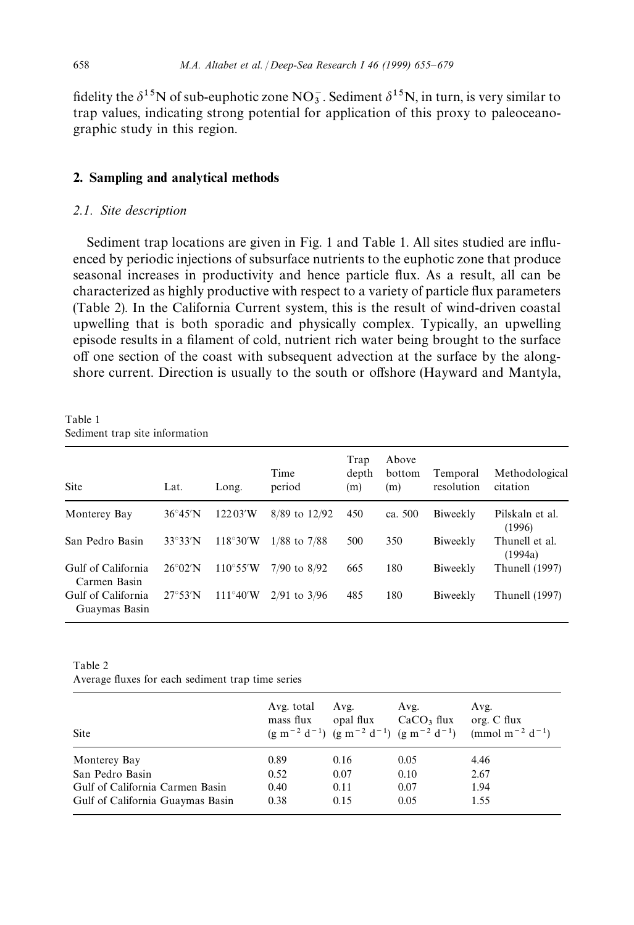fidelity the  $\delta^{15}N$  of sub-euphotic zone  $NO_3^-$ . Sediment  $\delta^{15}N$ , in turn, is very similar to trap values, indicating strong potential for application of this proxy to paleoceanographic study in this region.

## 2. Sampling and analytical methods

## *2.1. Site description*

Sediment trap locations are given in Fig. 1 and Table 1. All sites studied are influenced by periodic injections of subsurface nutrients to the euphotic zone that produce seasonal increases in productivity and hence particle flux. As a result, all can be characterized as highly productive with respect to a variety of particle flux parameters (Table 2). In the California Current system, this is the result of wind-driven coastal upwelling that is both sporadic and physically complex. Typically, an upwelling episode results in a filament of cold, nutrient rich water being brought to the surface off one section of the coast with subsequent advection at the surface by the alongshore current. Direction is usually to the south or offshore (Hayward and Mantyla,

Table 1 Sediment trap site information

| Site                                | Lat.              | Long.              | Time<br>period   | Trap<br>depth<br>(m) | Above<br>bottom<br>(m) | Temporal<br>resolution | Methodological<br>citation |
|-------------------------------------|-------------------|--------------------|------------------|----------------------|------------------------|------------------------|----------------------------|
| Monterey Bay                        | $36^{\circ}45'$ N | 12203'W            | 8/89 to 12/92    | 450                  | ca. 500                | Biweekly               | Pilskaln et al.<br>(1996)  |
| San Pedro Basin                     | $33^\circ 33'$ N  | $118^{\circ}30'W$  | $1/88$ to $7/88$ | 500                  | 350                    | Biweekly               | Thunell et al.<br>(1994a)  |
| Gulf of California<br>Carmen Basin  | $26^{\circ}02'$ N | $110^{\circ}55'$ W | $7/90$ to $8/92$ | 665                  | 180                    | Biweekly               | Thunell (1997)             |
| Gulf of California<br>Guaymas Basin | $27^{\circ}53'$ N | $111^{\circ}40'W$  | $2/91$ to $3/96$ | 485                  | 180                    | Biweekly               | Thunell (1997)             |

Table 2

Average fluxes for each sediment trap time series

| Site                             | Avg. total<br>mass flux | Avg.<br>opal flux | Avg.<br>CaCO <sub>3</sub> flux | Avg.<br>org. C flux<br>$(g m^{-2} d^{-1}) (g m^{-2} d^{-1}) (g m^{-2} d^{-1})$ (mmol m <sup>-2</sup> d <sup>-1</sup> ) |
|----------------------------------|-------------------------|-------------------|--------------------------------|------------------------------------------------------------------------------------------------------------------------|
| Monterey Bay                     | 0.89                    | 0.16              | 0.05                           | 4.46                                                                                                                   |
| San Pedro Basin                  | 0.52                    | 0.07              | 0.10                           | 2.67                                                                                                                   |
| Gulf of California Carmen Basin  | 0.40                    | 0.11              | 0.07                           | 1.94                                                                                                                   |
| Gulf of California Guaymas Basin | 0.38                    | 0.15              | 0.05                           | 1.55                                                                                                                   |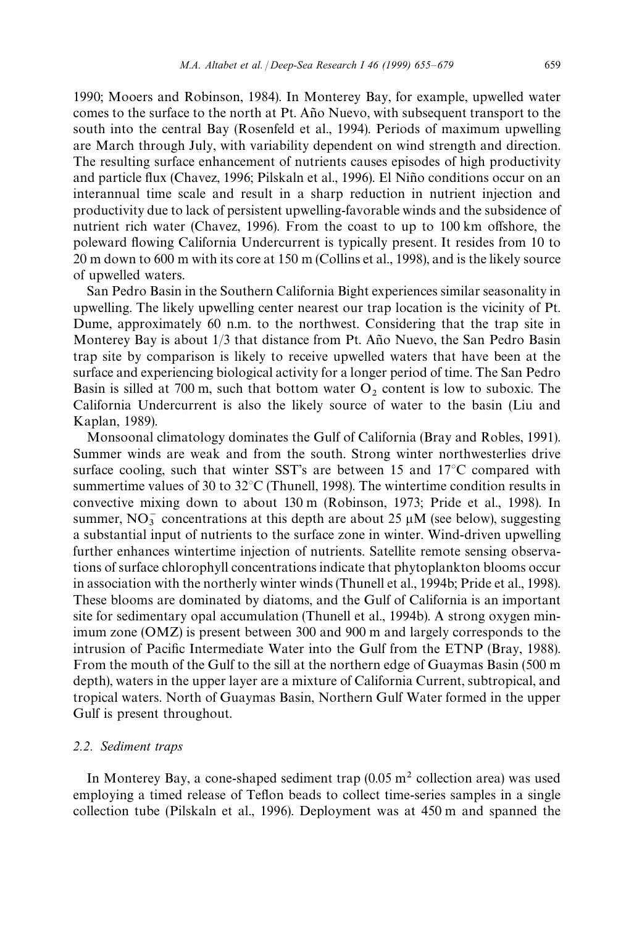1990; Mooers and Robinson, 1984). In Monterey Bay, for example, upwelled water comes to the surface to the north at Pt. Año Nuevo, with subsequent transport to the south into the central Bay (Rosenfeld et al., 1994). Periods of maximum upwelling are March through July, with variability dependent on wind strength and direction. The resulting surface enhancement of nutrients causes episodes of high productivity and particle flux (Chavez, 1996; Pilskaln et al., 1996). El Niño conditions occur on an interannual time scale and result in a sharp reduction in nutrient injection and productivity due to lack of persistent upwelling-favorable winds and the subsidence of nutrient rich water (Chavez, 1996). From the coast to up to 100 km offshore, the poleward flowing California Undercurrent is typically present. It resides from 10 to 20 m down to 600 m with its core at 150 m (Collins et al., 1998), and is the likely source of upwelled waters.

San Pedro Basin in the Southern California Bight experiences similar seasonality in upwelling. The likely upwelling center nearest our trap location is the vicinity of Pt. Dume, approximately 60 n.m. to the northwest. Considering that the trap site in Monterey Bay is about  $1/3$  that distance from Pt. Año Nuevo, the San Pedro Basin trap site by comparison is likely to receive upwelled waters that have been at the surface and experiencing biological activity for a longer period of time. The San Pedro Basin is silled at 700 m, such that bottom water  $O_2$  content is low to suboxic. The California Undercurrent is also the likely source of water to the basin (Liu and Kaplan, 1989).

Monsoonal climatology dominates the Gulf of California (Bray and Robles, 1991). Summer winds are weak and from the south. Strong winter northwesterlies drive surface cooling, such that winter SST's are between 15 and 17*°*C compared with summertime values of 30 to 32*°*C (Thunell, 1998). The wintertime condition results in convective mixing down to about 130 m (Robinson, 1973; Pride et al., 1998). In summer,  $NO_3^-$  concentrations at this depth are about 25  $\mu$ M (see below), suggesting a substantial input of nutrients to the surface zone in winter. Wind-driven upwelling further enhances wintertime injection of nutrients. Satellite remote sensing observations of surface chlorophyll concentrations indicate that phytoplankton blooms occur in association with the northerly winter winds (Thunell et al., 1994b; Pride et al., 1998). These blooms are dominated by diatoms, and the Gulf of California is an important site for sedimentary opal accumulation (Thunell et al., 1994b). A strong oxygen minimum zone (OMZ) is present between 300 and 900 m and largely corresponds to the intrusion of Pacific Intermediate Water into the Gulf from the ETNP (Bray, 1988). From the mouth of the Gulf to the sill at the northern edge of Guaymas Basin (500 m depth), waters in the upper layer are a mixture of California Current, subtropical, and tropical waters. North of Guaymas Basin, Northern Gulf Water formed in the upper Gulf is present throughout.

#### *2.2. Sediment traps*

In Monterey Bay, a cone-shaped sediment trap  $(0.05 \text{ m}^2 \text{ collection area})$  was used employing a timed release of Teflon beads to collect time-series samples in a single collection tube (Pilskaln et al., 1996). Deployment was at 450 m and spanned the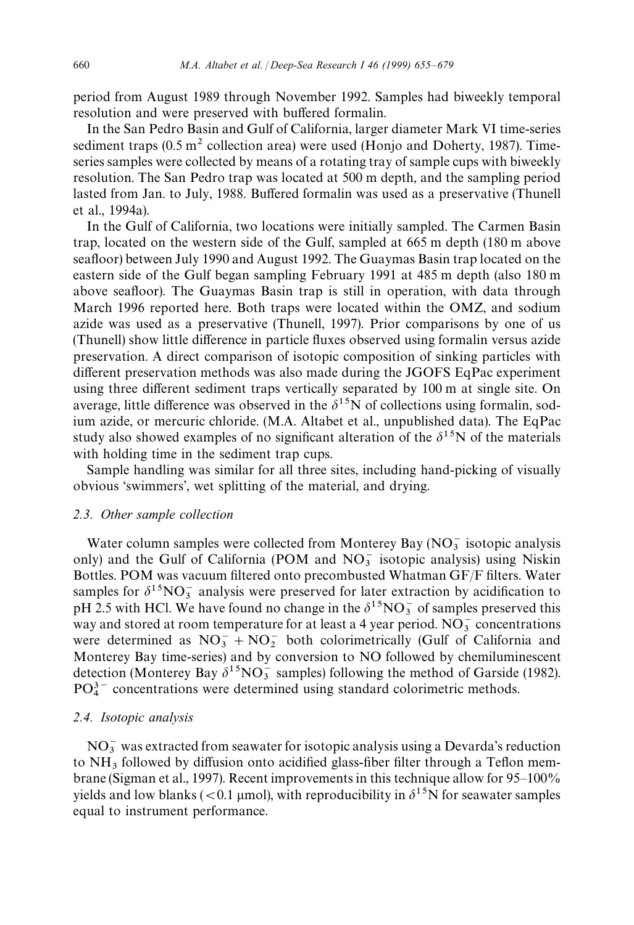period from August 1989 through November 1992. Samples had biweekly temporal resolution and were preserved with buffered formalin.

In the San Pedro Basin and Gulf of California, larger diameter Mark VI time-series sediment traps  $(0.5 \text{ m}^2 \text{ collection area})$  were used (Honjo and Doherty, 1987). Timeseries samples were collected by means of a rotating tray of sample cups with biweekly resolution. The San Pedro trap was located at 500 m depth, and the sampling period lasted from Jan. to July, 1988. Buffered formalin was used as a preservative (Thunell et al., 1994a).

In the Gulf of California, two locations were initially sampled. The Carmen Basin trap, located on the western side of the Gulf, sampled at 665 m depth (180 m above seafloor) between July 1990 and August 1992. The Guaymas Basin trap located on the eastern side of the Gulf began sampling February 1991 at 485 m depth (also 180 m above seafloor). The Guaymas Basin trap is still in operation, with data through March 1996 reported here. Both traps were located within the OMZ, and sodium azide was used as a preservative (Thunell, 1997). Prior comparisons by one of us (Thunell) show little difference in particle fluxes observed using formalin versus azide preservation. A direct comparison of isotopic composition of sinking particles with different preservation methods was also made during the JGOFS EqPac experiment using three different sediment traps vertically separated by 100 m at single site. On average, little difference was observed in the  $\delta^{15}$ N of collections using formalin, sodium azide, or mercuric chloride. (M.A. Altabet et al., unpublished data). The EqPac study also showed examples of no significant alteration of the  $\delta^{15}N$  of the materials with holding time in the sediment trap cups.

Sample handling was similar for all three sites, including hand-picking of visually obvious 'swimmers', wet splitting of the material, and drying.

## *2.3. Other sample collection*

Water column samples were collected from Monterey Bay  $(NO<sub>3</sub><sup>-</sup>$  isotopic analysis only) and the Gulf of California (POM and  $NO_3^-$  isotopic analysis) using Niskin Bottles. POM was vacuum filtered onto precombusted Whatman GF/F filters. Water samples for  $\delta^{15}NO_3^-$  analysis were preserved for later extraction by acidification to pH 2.5 with HCl. We have found no change in the  $\delta^{15}NO_3^-$  of samples preserved this way and stored at room temperature for at least a 4 year period.  $NO_3^-$  concentrations were determined as  $NO_3^- + NO_2^-$  both colorimetrically (Gulf of California and Monterey Bay time-series) and by conversion to NO followed by chemiluminescent detection (Monterey Bay  $\delta^{15}NO_3^-$  samples) following the method of Garside (1982).  $PO_4^{3-}$  concentrations were determined using standard colorimetric methods.

## *2.4. Isotopic analysis*

 $NO<sub>3</sub><sup>-</sup>$  was extracted from seawater for isotopic analysis using a Devarda's reduction to  $NH<sub>3</sub>$  followed by diffusion onto acidified glass-fiber filter through a Teflon membrane (Sigman et al., 1997). Recent improvements in this technique allow for 95*—*100% yields and low blanks ( $(0.1 \text{ \mu}$ mol), with reproducibility in  $\delta^{15}$ N for seawater samples equal to instrument performance.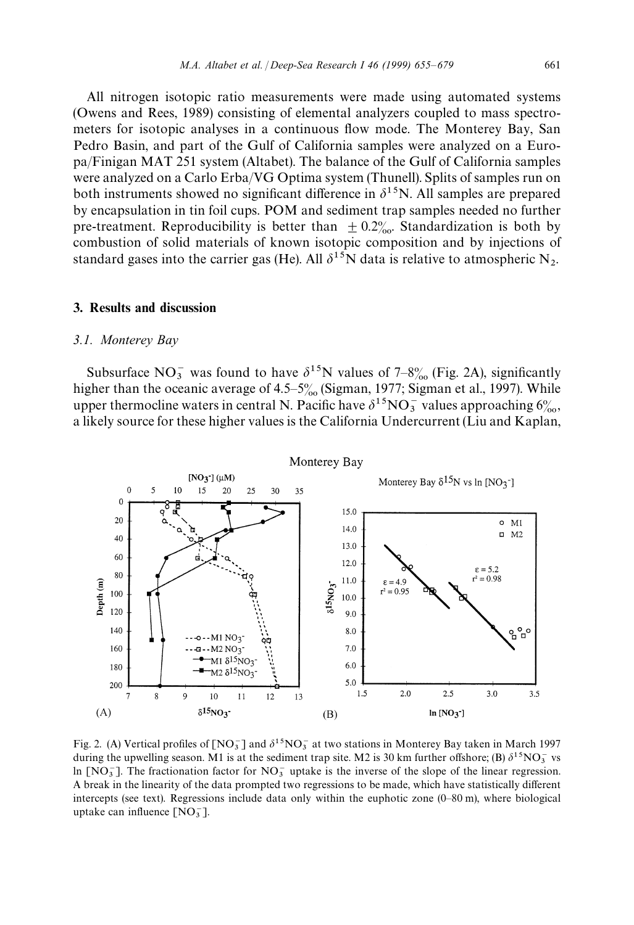All nitrogen isotopic ratio measurements were made using automated systems (Owens and Rees, 1989) consisting of elemental analyzers coupled to mass spectrometers for isotopic analyses in a continuous flow mode. The Monterey Bay, San Pedro Basin, and part of the Gulf of California samples were analyzed on a Europa/Finigan MAT 251 system (Altabet). The balance of the Gulf of California samples were analyzed on a Carlo Erba/VG Optima system (Thunell). Splits of samples run on both instruments showed no significant difference in  $\delta^{15}$ N. All samples are prepared by encapsulation in tin foil cups. POM and sediment trap samples needed no further pre-treatment. Reproducibility is better than  $\pm 0.2%$ . Standardization is both by combustion of solid materials of known isotopic composition and by injections of standard gases into the carrier gas (He). All  $\delta^{15}N$  data is relative to atmospheric N<sub>2</sub>.

#### 3. Results and discussion

#### *3.1. Monterey Bay*

Subsurface NO<sub>3</sub> was found to have  $\delta^{15}$ N values of 7–8% (Fig. 2A), significantly higher than the oceanic average of 4.5–5<sup>o</sup> (Sigman, 1977; Sigman et al., 1997). While upper thermocline waters in central N. Pacific have  $\delta^{15}NO_3^-$  values approaching  $6\%_{0.}$ , a likely source for these higher values is the California Undercurrent (Liu and Kaplan,



Fig. 2. (A) Vertical profiles of  $\text{[NO}_3^-$  and  $\delta^{15}\text{NO}_3^-$  at two stations in Monterey Bay taken in March 1997 during the upwelling season. M1 is at the sediment trap site. M2 is 30 km further offshore; (B)  $\delta^{15}NO_3^-$  vs ln [NO $_3$ ]. The fractionation factor for NO<sub>3</sub> uptake is the inverse of the slope of the linear regression. A break in the linearity of the data prompted two regressions to be made, which have statistically different intercepts (see text). Regressions include data only within the euphotic zone (0*—*80 m), where biological uptake can influence  $[NO_3^-]$ .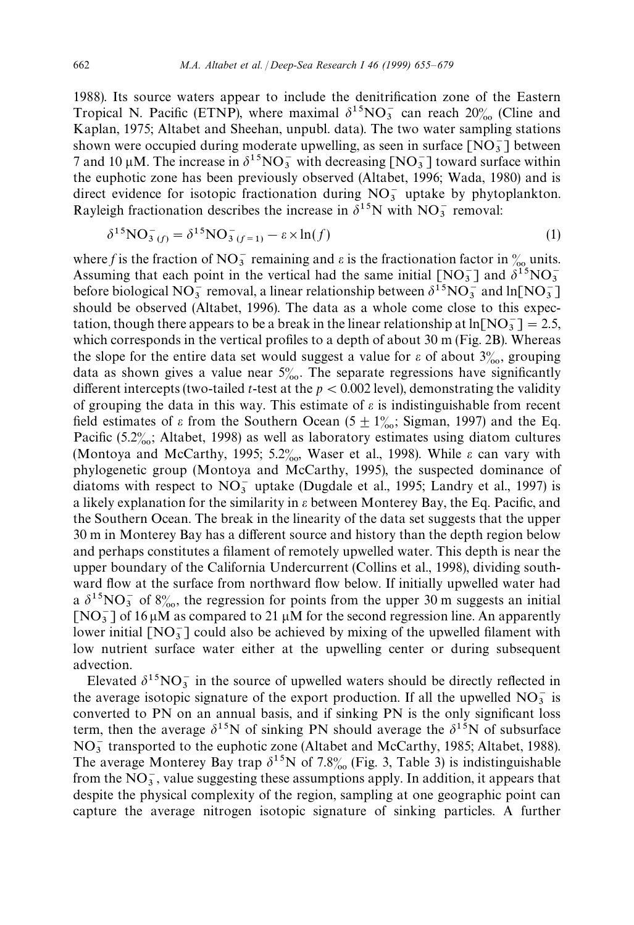1988). Its source waters appear to include the denitrification zone of the Eastern Tropical N. Pacific (ETNP), where maximal  $\delta^{15}NO_3^-$  can reach  $20\%$  (Cline and Kaplan, 1975; Altabet and Sheehan, unpubl. data). The two water sampling stations shown were occupied during moderate upwelling, as seen in surface  $[NO<sub>3</sub>^-]$  between 7 and 10  $\mu$ M. The increase in  $\delta^{15}NO_3^-$  with decreasing  $[NO_3^-]$  toward surface within the euphotic zone has been previously observed (Altabet, 1996; Wada, 1980) and is direct evidence for isotopic fractionation during  $NO<sub>3</sub><sup>-</sup>$  uptake by phytoplankton. Rayleigh fractionation describes the increase in  $\delta^{15}$ N with NO<sub>3</sub> removal:

$$
\delta^{15} \text{NO}_{3(f)}^{-} = \delta^{15} \text{NO}_{3(f=1)}^{-} - \varepsilon \times \ln(f)
$$
 (1)

where *f* is the fraction of  $NO_3^-$  remaining and  $\varepsilon$  is the fractionation factor in  $\frac{\%}{\%}$  units. Assuming that each point in the vertical had the same initial  $[NO<sub>3</sub><sup>-</sup>]$  and  $\delta^{15}NO<sub>3</sub><sup>-</sup>$ Assuming that each point in the vertical had the same initial  $[1NO_3^-]$  and  $\theta$   $[NO_3^-]$ <br>before biological  $NO_3^-$  removal, a linear relationship between  $\delta^{15}NO_3^-$  and  $ln[NO_3^-]$ should be observed (Altabet, 1996). The data as a whole come close to this expectation, though there appears to be a break in the linear relationship at  $ln[NO<sub>3</sub><sup>-</sup>] = 2.5$ , which corresponds in the vertical profiles to a depth of about 30 m (Fig. 2B). Whereas the slope for the entire data set would suggest a value for  $\varepsilon$  of about 3%, grouping data as shown gives a value near  $5\%$ . The separate regressions have significantly different intercepts (two-tailed *t*-test at the  $p < 0.002$  level), demonstrating the validity of grouping the data in this way. This estimate of  $\varepsilon$  is indistinguishable from recent field estimates of  $\varepsilon$  from the Southern Ocean (5  $\pm$  1%; Sigman, 1997) and the Eq. Pacific (5.2 $\frac{\%}{\%}$ ; Altabet, 1998) as well as laboratory estimates using diatom cultures (Montoya and McCarthy, 1995; 5.2%, Waser et al., 1998). While  $\varepsilon$  can vary with phylogenetic group (Montoya and McCarthy, 1995), the suspected dominance of diatoms with respect to  $NO_3^-$  uptake (Dugdale et al., 1995; Landry et al., 1997) is a likely explanation for the similarity in  $\varepsilon$  between Monterey Bay, the Eq. Pacific, and the Southern Ocean. The break in the linearity of the data set suggests that the upper 30 m in Monterey Bay has a different source and history than the depth region below and perhaps constitutes a filament of remotely upwelled water. This depth is near the upper boundary of the California Undercurrent (Collins et al., 1998), dividing southward flow at the surface from northward flow below. If initially upwelled water had a  $\delta^{15}NO_3^-$  of 8‰, the regression for points from the upper 30 m suggests an initial  $[NO<sub>3</sub>]$  of 16  $\mu$ M as compared to 21  $\mu$ M for the second regression line. An apparently lower initial  $[NO<sub>3</sub><sup>-</sup>]$  could also be achieved by mixing of the upwelled filament with low nutrient surface water either at the upwelling center or during subsequent advection.

Elevated  $\delta^{15}NO_3^-$  in the source of upwelled waters should be directly reflected in the average isotopic signature of the export production. If all the upwelled  $NO_3^-$  is converted to PN on an annual basis, and if sinking PN is the only significant loss term, then the average  $\delta^{15}N$  of sinking PN should average the  $\delta^{15}N$  of subsurface NO~ <sup>3</sup> transported to the euphotic zone (Altabet and McCarthy, 1985; Altabet, 1988). The average Monterey Bay trap  $\delta^{15}N$  of 7.8% (Fig. 3, Table 3) is indistinguishable from the  $NO_3^-$ , value suggesting these assumptions apply. In addition, it appears that despite the physical complexity of the region, sampling at one geographic point can capture the average nitrogen isotopic signature of sinking particles. A further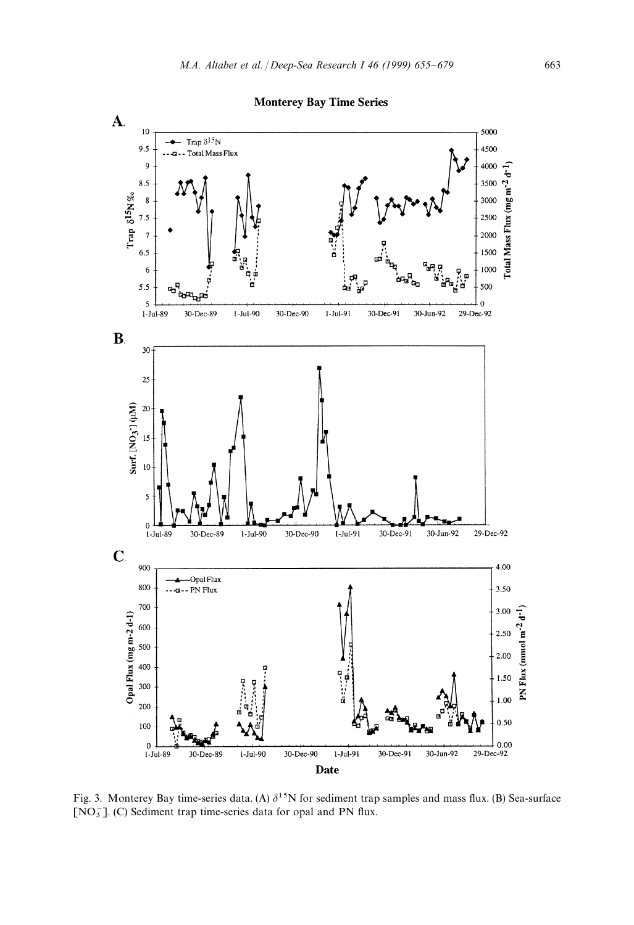

Fig. 3. Monterey Bay time-series data. (A)  $\delta^{15}N$  for sediment trap samples and mass flux. (B) Sea-surface [NO<sub>3</sub>]. (C) Sediment trap time-series data for opal and PN flux.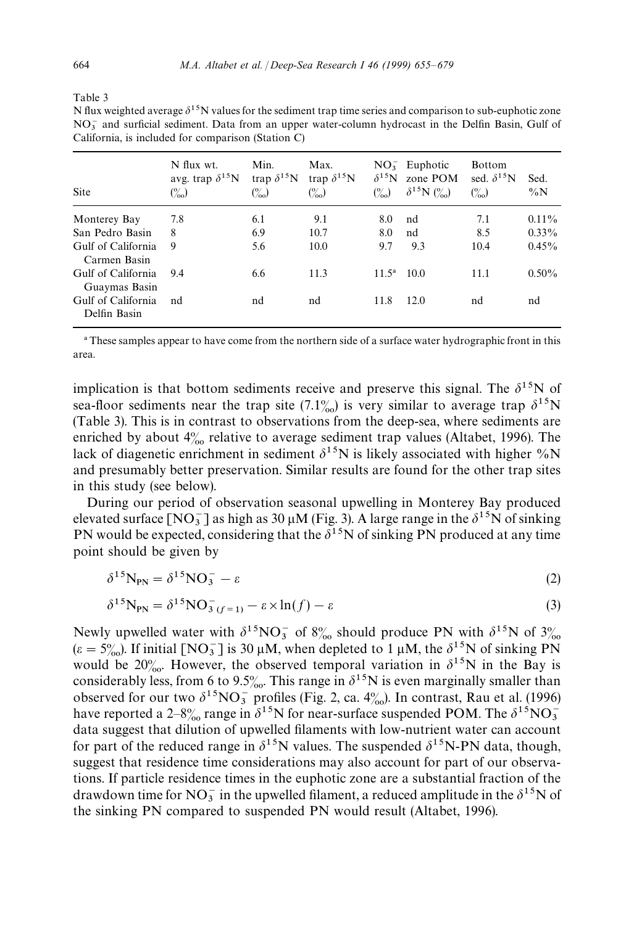| Table 3 |  |  |
|---------|--|--|

N flux weighted average  $\delta^{15}N$  values for the sediment trap time series and comparison to sub-euphotic zone  $NO<sub>3</sub><sup>-</sup>$  and surficial sediment. Data from an upper water-column hydrocast in the Delfin Basin, Gulf of California, is included for comparison (Station C)

| Site                                | N flux wt.<br>avg. trap $\delta^{15}$ N<br>$\binom{0}{00}$ | Min.<br>trap $\delta^{15}$ N<br>$\binom{0}{00}$ | Max.<br>trap $\delta^{15}$ N<br>$\binom{0}{0}$ | $\delta^{15}N$<br>$\binom{0}{00}$ | $NO3-$ Euphotic<br>zone POM<br>$\delta^{15}N$ (%) | <b>Bottom</b><br>sed. $\delta^{15}$ N<br>$\binom{0}{0}$ | Sed.<br>$\%N$ |
|-------------------------------------|------------------------------------------------------------|-------------------------------------------------|------------------------------------------------|-----------------------------------|---------------------------------------------------|---------------------------------------------------------|---------------|
| Monterey Bay                        | 7.8                                                        | 6.1                                             | 9.1                                            | 8.0                               | nd                                                | 7.1                                                     | $0.11\%$      |
| San Pedro Basin                     | 8                                                          | 6.9                                             | 10.7                                           | 8.0                               | nd                                                | 8.5                                                     | $0.33\%$      |
| Gulf of California<br>Carmen Basin  | 9                                                          | 5.6                                             | 10.0                                           | 9.7                               | 9.3                                               | 10.4                                                    | $0.45\%$      |
| Gulf of California<br>Guaymas Basin | 9.4                                                        | 6.6                                             | 11.3                                           | $11.5^{\rm a}$                    | 10.0                                              | 11.1                                                    | $0.50\%$      |
| Gulf of California<br>Delfin Basin  | nd                                                         | nd                                              | nd                                             | 11.8                              | 12.0                                              | nd                                                      | nd            |

! These samples appear to have come from the northern side of a surface water hydrographic front in this area.

implication is that bottom sediments receive and preserve this signal. The  $\delta^{15}N$  of sea-floor sediments near the trap site (7.1%) is very similar to average trap  $\delta^{15}N$ (Table 3). This is in contrast to observations from the deep-sea, where sediments are enriched by about  $4\%$  relative to average sediment trap values (Altabet, 1996). The lack of diagenetic enrichment in sediment  $\delta^{15}N$  is likely associated with higher %N and presumably better preservation. Similar results are found for the other trap sites in this study (see below).

During our period of observation seasonal upwelling in Monterey Bay produced elevated surface  $[NO_3^-]$  as high as 30  $\mu$ M (Fig. 3). A large range in the  $\delta^{15}$ N of sinking PN would be expected, considering that the  $\delta^{15}$ N of sinking PN produced at any time point should be given by

$$
\delta^{15} \mathbf{N}_{\mathbf{PN}} = \delta^{15} \mathbf{N} \mathbf{O}_3^- - \varepsilon \tag{2}
$$

$$
\delta^{15} \mathbf{N}_{\mathbf{PN}} = \delta^{15} \mathbf{N} \mathbf{O}_{3(f=1)}^- - \varepsilon \times \ln(f) - \varepsilon \tag{3}
$$

Newly upwelled water with  $\delta^{15}NO_3^-$  of 8% should produce PN with  $\delta^{15}N$  of 3%  $(\varepsilon = 5\%)$ . If initial [NO<sub>3</sub>] is 30  $\mu$ M, when depleted to 1  $\mu$ M, the  $\delta^{15}$ N of sinking PN would be 20<sup>%</sup>. However, the observed temporal variation in  $\delta^{15}N$  in the Bay is considerably less, from 6 to 9.5%. This range in  $\delta^{15}N$  is even marginally smaller than observed for our two  $\delta^{15}NO_3^-$  profiles (Fig. 2, ca. 4‰). In contrast, Rau et al. (1996) have reported a 2–8<sup>o</sup><sub>00</sub> range in  $\delta^{15}N$  for near-surface suspended POM. The  $\delta^{15}NO_3^$ data suggest that dilution of upwelled filaments with low-nutrient water can account for part of the reduced range in  $\delta^{15}N$  values. The suspended  $\delta^{15}N$ -PN data, though, suggest that residence time considerations may also account for part of our observations. If particle residence times in the euphotic zone are a substantial fraction of the drawdown time for  $NO_3^-$  in the upwelled filament, a reduced amplitude in the  $\delta^{15}N$  of the sinking PN compared to suspended PN would result (Altabet, 1996).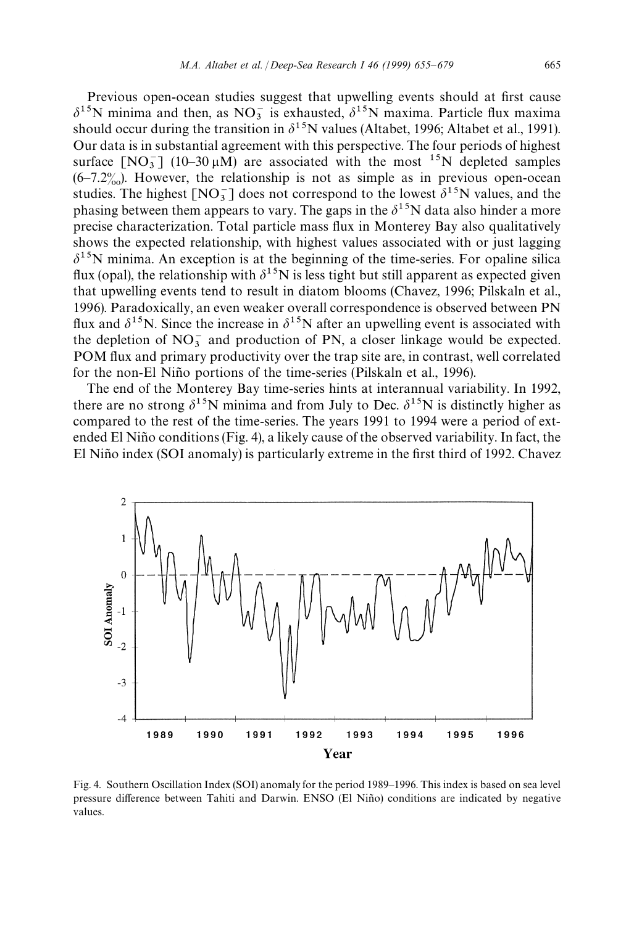Previous open-ocean studies suggest that upwelling events should at first cause  $\delta^{15}$ N minima and then, as NO<sub>3</sub> is exhausted,  $\delta^{15}$ N maxima. Particle flux maxima should occur during the transition in  $\delta^{15}N$  values (Altabet, 1996; Altabet et al., 1991). Our data is in substantial agreement with this perspective. The four periods of highest surface  $[NO<sub>3</sub><sup>-</sup>]$  (10–30  $\mu$ M) are associated with the most <sup>15</sup>N depleted samples  $(6-7.2\%)$ . However, the relationship is not as simple as in previous open-ocean studies. The highest  $[NO_3^-]$  does not correspond to the lowest  $\delta^{15}N$  values, and the phasing between them appears to vary. The gaps in the  $\delta^{15}N$  data also hinder a more precise characterization. Total particle mass flux in Monterey Bay also qualitatively shows the expected relationship, with highest values associated with or just lagging  $\delta^{15}$ N minima. An exception is at the beginning of the time-series. For opaline silica flux (opal), the relationship with  $\delta^{15}N$  is less tight but still apparent as expected given that upwelling events tend to result in diatom blooms (Chavez, 1996; Pilskaln et al., 1996). Paradoxically, an even weaker overall correspondence is observed between PN flux and  $\delta^{15}N$ . Since the increase in  $\delta^{15}N$  after an upwelling event is associated with the depletion of  $NO_3^-$  and production of PN, a closer linkage would be expected. POM flux and primary productivity over the trap site are, in contrast, well correlated for the non-El Niño portions of the time-series (Pilskaln et al., 1996).

The end of the Monterey Bay time-series hints at interannual variability. In 1992, there are no strong  $\delta^{15}N$  minima and from July to Dec.  $\delta^{15}N$  is distinctly higher as compared to the rest of the time-series. The years 1991 to 1994 were a period of extended El Niño conditions (Fig. 4), a likely cause of the observed variability. In fact, the El Niño index (SOI anomaly) is particularly extreme in the first third of 1992. Chavez



Fig. 4. Southern Oscillation Index (SOI) anomaly for the period 1989*—*1996. This index is based on sea level pressure difference between Tahiti and Darwin. ENSO (El Niño) conditions are indicated by negative values.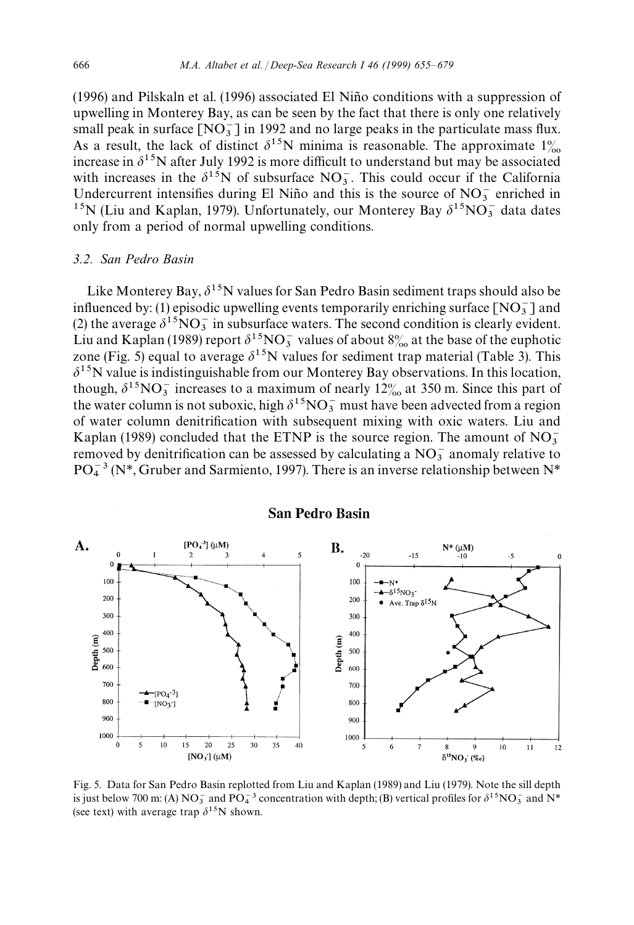$(1996)$  and Pilskaln et al.  $(1996)$  associated El Niño conditions with a suppression of upwelling in Monterey Bay, as can be seen by the fact that there is only one relatively small peak in surface  $[NO_3^-]$  in 1992 and no large peaks in the particulate mass flux. As a result, the lack of distinct  $\delta^{15}N$  minima is reasonable. The approximate  $1\%$ increase in  $\delta^{15}$ N after July 1992 is more difficult to understand but may be associated with increases in the  $\delta^{15}$ N of subsurface NO<sub>3</sub>. This could occur if the California Undercurrent intensifies during El Niño and this is the source of  $NO<sub>3</sub><sup>-</sup>$  enriched in <sup>15</sup>N (Liu and Kaplan, 1979). Unfortunately, our Monterey Bay  $\delta^{15}NO_3^-$  data dates only from a period of normal upwelling conditions.

## *3.2. San Pedro Basin*

Like Monterey Bay,  $\delta^{15}N$  values for San Pedro Basin sediment traps should also be influenced by: (1) episodic upwelling events temporarily enriching surface  $[NO<sub>3</sub>^-]$  and (2) the average  $\delta^{15}NO_3^-$  in subsurface waters. The second condition is clearly evident. Liu and Kaplan (1989) report  $\delta^{15}NO_3^-$  values of about  $8\%$  at the base of the euphotic zone (Fig. 5) equal to average  $\delta^{15}N$  values for sediment trap material (Table 3). This  $\delta^{15}$ N value is indistinguishable from our Monterey Bay observations. In this location, though,  $\delta^{15}NO_3^-$  increases to a maximum of nearly 12<sup>%</sup> at 350 m. Since this part of the water column is not suboxic, high  $\delta^{15}NO_3^-$  must have been advected from a region of water column denitrification with subsequent mixing with oxic waters. Liu and Kaplan (1989) concluded that the ETNP is the source region. The amount of  $NO<sub>3</sub><sup>-</sup>$ Exaptan (1989) concluded that the ETNF is the source region. The amount of NO<sub>3</sub> removed by denitrification can be assessed by calculating a  $NO_3^-$  anomaly relative to  $PO<sub>4</sub><sup>-3</sup>$  (N<sup>\*</sup>, Gruber and Sarmiento, 1997). There is an inverse relationship between N<sup>\*</sup>



Fig. 5. Data for San Pedro Basin replotted from Liu and Kaplan (1989) and Liu (1979). Note the sill depth is just below 700 m: (A)  $NO_3^-$  and  $PO_4^-$ <sup>3</sup> concentration with depth; (B) vertical profiles for  $\delta^{15}NO_3^-$  and  $N^*$ (see text) with average trap  $\delta^{15}N$  shown.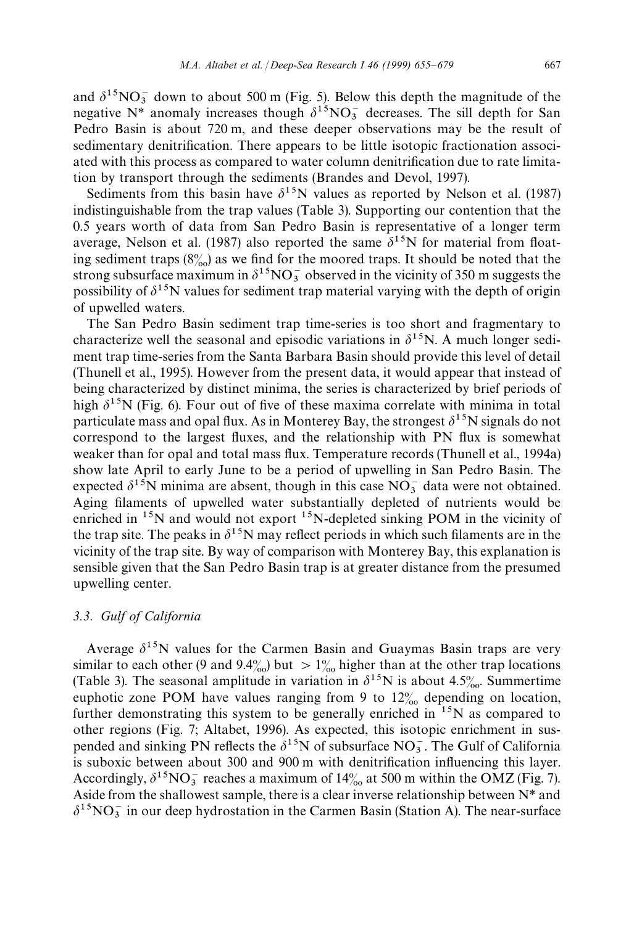and  $\delta^{15}NO_3^-$  down to about 500 m (Fig. 5). Below this depth the magnitude of the negative  $N^*$  anomaly increases though  $\delta^{15}NO_3^-$  decreases. The sill depth for San Pedro Basin is about 720 m, and these deeper observations may be the result of sedimentary denitrification. There appears to be little isotopic fractionation associated with this process as compared to water column denitrification due to rate limitation by transport through the sediments (Brandes and Devol, 1997).

Sediments from this basin have  $\delta^{15}N$  values as reported by Nelson et al. (1987) indistinguishable from the trap values (Table 3). Supporting our contention that the 0.5 years worth of data from San Pedro Basin is representative of a longer term average, Nelson et al. (1987) also reported the same  $\delta^{15}N$  for material from floating sediment traps  $(8\%)$  as we find for the moored traps. It should be noted that the strong subsurface maximum in  $\delta^{15}NO_3^-$  observed in the vicinity of 350 m suggests the possibility of  $\delta^{15}N$  values for sediment trap material varying with the depth of origin of upwelled waters.

The San Pedro Basin sediment trap time-series is too short and fragmentary to characterize well the seasonal and episodic variations in  $\delta^{15}N$ . A much longer sediment trap time-series from the Santa Barbara Basin should provide this level of detail (Thunell et al., 1995). However from the present data, it would appear that instead of being characterized by distinct minima, the series is characterized by brief periods of high  $\delta^{15}$ N (Fig. 6). Four out of five of these maxima correlate with minima in total particulate mass and opal flux. As in Monterey Bay, the strongest  $\delta^{15}N$  signals do not correspond to the largest fluxes, and the relationship with PN flux is somewhat weaker than for opal and total mass flux. Temperature records (Thunell et al., 1994a) show late April to early June to be a period of upwelling in San Pedro Basin. The expected  $\delta^{15}$ N minima are absent, though in this case NO<sub>3</sub> data were not obtained. Aging filaments of upwelled water substantially depleted of nutrients would be enriched in  $15N$  and would not export  $15N$ -depleted sinking POM in the vicinity of the trap site. The peaks in  $\delta^{15}$ N may reflect periods in which such filaments are in the vicinity of the trap site. By way of comparison with Monterey Bay, this explanation is sensible given that the San Pedro Basin trap is at greater distance from the presumed upwelling center.

## *3.3. Gulf of California*

Average  $\delta^{15}N$  values for the Carmen Basin and Guaymas Basin traps are very similar to each other (9 and 9.4%) but  $> 1\%$  higher than at the other trap locations (Table 3). The seasonal amplitude in variation in  $\delta^{15}N$  is about 4.5%. Summertime euphotic zone POM have values ranging from 9 to  $12\%$  depending on location, further demonstrating this system to be generally enriched in  $15N$  as compared to other regions (Fig. 7; Altabet, 1996). As expected, this isotopic enrichment in suspended and sinking PN reflects the  $\delta^{15}$ N of subsurface NO<sub>3</sub>. The Gulf of California is suboxic between about 300 and 900 m with denitrification influencing this layer. Accordingly,  $\delta^{15}NO_3^-$  reaches a maximum of 14 $\frac{6}{10}$  at 500 m within the OMZ (Fig. 7). Aside from the shallowest sample, there is a clear inverse relationship between N*\** and  $\delta^{15}NO_3^-$  in our deep hydrostation in the Carmen Basin (Station A). The near-surface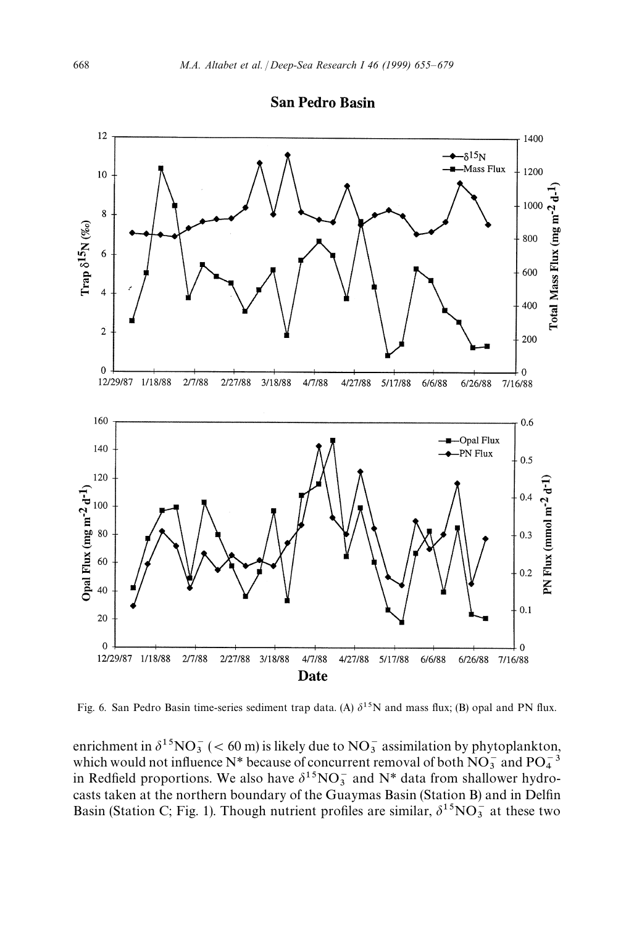

Fig. 6. San Pedro Basin time-series sediment trap data. (A)  $\delta^{15}N$  and mass flux; (B) opal and PN flux.

enrichment in  $\delta^{15}NO_3^-$  (< 60 m) is likely due to  $NO_3^-$  assimilation by phytoplankton, which would not influence N<sup>\*</sup> because of concurrent removal of both NO<sub>3</sub> and PO<sub>4</sub><sup>3</sup> which would not influence N\* because of concurrent removal of both  $NO_3^-$  and  $PO_4^{-3}$ <br>in Redfield proportions. We also have  $\delta^{15}NO_3^-$  and N\* data from shallower hydrocasts taken at the northern boundary of the Guaymas Basin (Station B) and in Delfin Basin (Station C; Fig. 1). Though nutrient profiles are similar,  $\delta^{15}NO_3^-$  at these two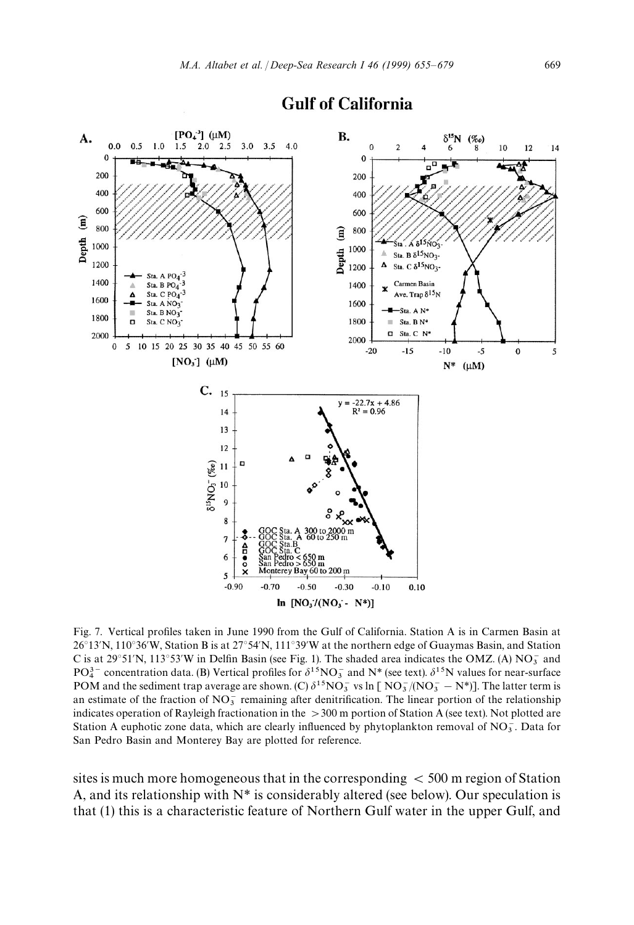

## **Gulf of California**

Fig. 7. Vertical profiles taken in June 1990 from the Gulf of California. Station A is in Carmen Basin at 26<sup>°</sup>13'N, 110<sup>°</sup>36'W, Station B is at 27<sup>°</sup>54'N, 111<sup>°</sup>39'W at the northern edge of Guaymas Basin, and Station C is at 29°51'N, 113°53'W in Delfin Basin (see Fig. 1). The shaded area indicates the OMZ. (A) NO<sub>3</sub> and  $PQ_4^3$  concentration data. (B) Vertical profiles for  $\delta^{15}NO_3^-$  and  $N^*$  (see text).  $\delta^{15}N$  values for near-surface POM and the sediment trap average are shown. (C)  $\delta^{15}NO_3^-$  vs ln [ $NO_3^-/(NO_3^- - N^*)$ ]. The latter term is an estimate of the fraction of  $NO<sub>3</sub><sup>-</sup>$  remaining after denitrification. The linear portion of the relationship indicates operation of Rayleigh fractionation in the  $>300$  m portion of Station A (see text). Not plotted are Station A euphotic zone data, which are clearly influenced by phytoplankton removal of  $NO<sub>3</sub>$ . Data for San Pedro Basin and Monterey Bay are plotted for reference.

sites is much more homogeneous that in the corresponding  $<$  500 m region of Station A, and its relationship with N*\** is considerably altered (see below). Our speculation is that (1) this is a characteristic feature of Northern Gulf water in the upper Gulf, and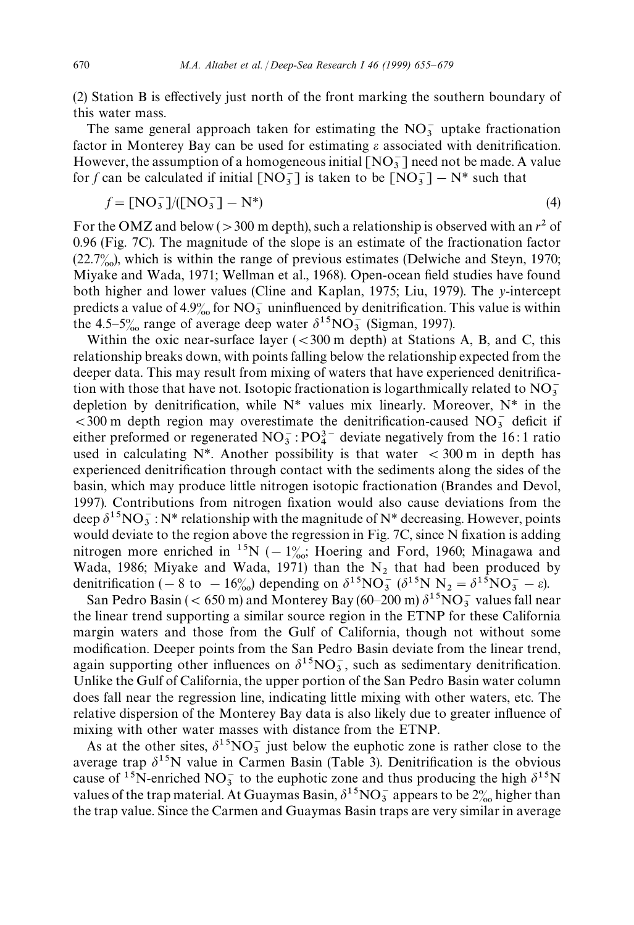(2) Station B is effectively just north of the front marking the southern boundary of this water mass.

The same general approach taken for estimating the  $NO_3^-$  uptake fractionation factor in Monterey Bay can be used for estimating  $\varepsilon$  associated with denitrification. However, the assumption of a homogeneous initial  $[NO_3^-]$  need not be made. A value for *f* can be calculated if initial  $[NO_3^-]$  is taken to be  $[NO_3^-] - N^*$  such that

$$
f = [NO_3^-]/([NO_3^-] - N^*)
$$
\n(4)

For the OMZ and below ( $>$ 300 m depth), such a relationship is observed with an  $r^2$  of 0.96 (Fig. 7C). The magnitude of the slope is an estimate of the fractionation factor  $(22.7\%)$ , which is within the range of previous estimates (Delwiche and Steyn, 1970; Miyake and Wada, 1971; Wellman et al., 1968). Open-ocean field studies have found both higher and lower values (Cline and Kaplan, 1975; Liu, 1979). The *y*-intercept predicts a value of  $4.9\%$  for NO<sub>3</sub> uninfluenced by denitrification. This value is within the 4.5–5<sup>o</sup><sub>∞</sub> range of average deep water  $\delta^{15}NO_3^-$  (Sigman, 1997).

Within the oxic near-surface layer  $( $300 \text{ m}$  depth)$  at Stations A, B, and C, this relationship breaks down, with points falling below the relationship expected from the deeper data. This may result from mixing of waters that have experienced denitrification with those that have not. Isotopic fractionation is logarthmically related to  $NO<sub>3</sub>$ <sup>3</sup> depletion by denitrification, while N*\** values mix linearly. Moreover, N*\** in the  $<$ 300 m depth region may overestimate the denitrification-caused NO<sub>3</sub> deficit if either preformed or regenerated  $NO_3^-$ :  $PO_4^{3-}$  deviate negatively from the 16:1 ratio used in calculating  $N^*$ . Another possibility is that water  $\lt$  300 m in depth has experienced denitrification through contact with the sediments along the sides of the basin, which may produce little nitrogen isotopic fractionation (Brandes and Devol, 1997). Contributions from nitrogen fixation would also cause deviations from the deep  $\delta^{15}NO_3^-$ : N\* relationship with the magnitude of N\* decreasing. However, points would deviate to the region above the regression in Fig. 7C, since N fixation is adding nitrogen more enriched in <sup>15</sup>N ( $-1\%$ ; Hoering and Ford, 1960; Minagawa and Wada, 1986; Miyake and Wada, 1971) than the  $N_2$  that had been produced by denitrification (- 8 to  $-16\%$ ) depending on  $\delta^{15}NO_3^- (\delta^{15}N N_2 = \delta^{15}NO_3^- - \epsilon)$ .

San Pedro Basin ( $< 650 \text{ m}$ ) and Monterey Bay ( $60-200 \text{ m}$ )  $\delta^{15}$ NO<sub>3</sub> values fall near the linear trend supporting a similar source region in the ETNP for these California margin waters and those from the Gulf of California, though not without some modification. Deeper points from the San Pedro Basin deviate from the linear trend, again supporting other influences on  $\delta^{15}NO_3^-$ , such as sedimentary denitrification. Unlike the Gulf of California, the upper portion of the San Pedro Basin water column does fall near the regression line, indicating little mixing with other waters, etc. The relative dispersion of the Monterey Bay data is also likely due to greater influence of mixing with other water masses with distance from the ETNP.

As at the other sites,  $\delta^{15}NO_3^-$  just below the euphotic zone is rather close to the average trap  $\delta^{15}N$  value in Carmen Basin (Table 3). Denitrification is the obvious cause of <sup>15</sup>N-enriched NO<sub>3</sub> to the euphotic zone and thus producing the high  $\delta^{15}$ N values of the trap material. At Guaymas Basin,  $\delta^{15}NO_3^-$  appears to be  $2\%$  higher than the trap value. Since the Carmen and Guaymas Basin traps are very similar in average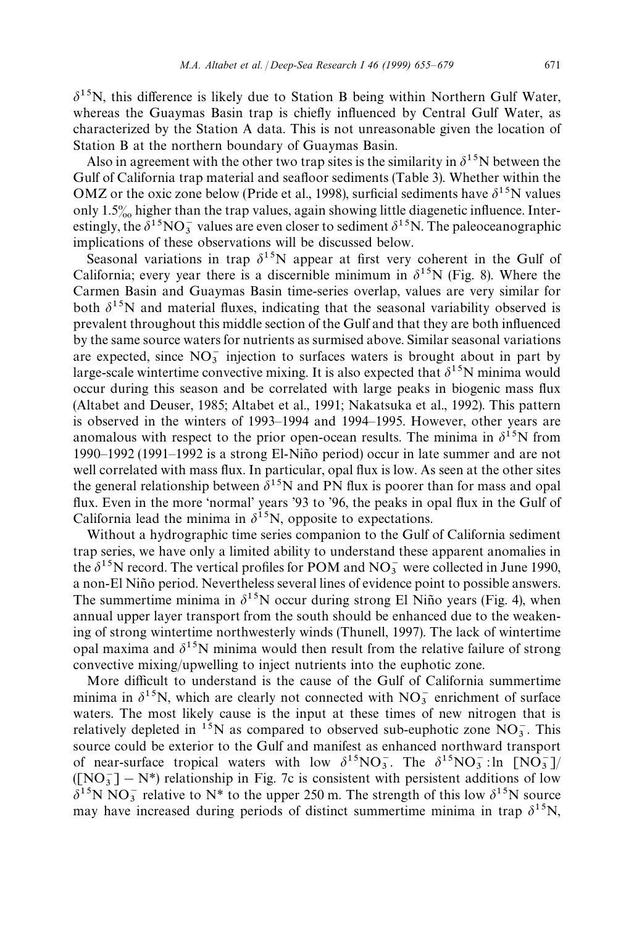$\delta^{15}$ N, this difference is likely due to Station B being within Northern Gulf Water, whereas the Guaymas Basin trap is chiefly influenced by Central Gulf Water, as characterized by the Station A data. This is not unreasonable given the location of Station B at the northern boundary of Guaymas Basin.

Also in agreement with the other two trap sites is the similarity in  $\delta^{15}N$  between the Gulf of California trap material and seafloor sediments (Table 3). Whether within the OMZ or the oxic zone below (Pride et al., 1998), surficial sediments have  $\delta^{15}N$  values only  $1.5\%$  higher than the trap values, again showing little diagenetic influence. Interestingly, the  $\delta^{15}NO_3^-$  values are even closer to sediment  $\delta^{15}N$ . The paleoceanographic implications of these observations will be discussed below.

Seasonal variations in trap  $\delta^{15}N$  appear at first very coherent in the Gulf of California; every year there is a discernible minimum in  $\delta^{15}N$  (Fig. 8). Where the Carmen Basin and Guaymas Basin time-series overlap, values are very similar for both  $\delta^{15}$ N and material fluxes, indicating that the seasonal variability observed is prevalent throughout this middle section of the Gulf and that they are both influenced by the same source waters for nutrients as surmised above. Similar seasonal variations are expected, since  $NO_3^-$  injection to surfaces waters is brought about in part by large-scale wintertime convective mixing. It is also expected that  $\delta^{15}N$  minima would occur during this season and be correlated with large peaks in biogenic mass flux (Altabet and Deuser, 1985; Altabet et al., 1991; Nakatsuka et al., 1992). This pattern is observed in the winters of 1993*—*1994 and 1994*—*1995. However, other years are anomalous with respect to the prior open-ocean results. The minima in  $\delta^{15}N$  from 1990*—*1992 (1991*—*1992 is a strong El-Nin8o period) occur in late summer and are not well correlated with mass flux. In particular, opal flux is low. As seen at the other sites the general relationship between  $\delta^{15}N$  and PN flux is poorer than for mass and opal flux. Even in the more 'normal' years '93 to '96, the peaks in opal flux in the Gulf of California lead the minima in  $\delta^{15}N$ , opposite to expectations.

Without a hydrographic time series companion to the Gulf of California sediment trap series, we have only a limited ability to understand these apparent anomalies in the  $\delta^{15}$ N record. The vertical profiles for POM and NO<sub>3</sub> were collected in June 1990, a non-El Niño period. Nevertheless several lines of evidence point to possible answers. The summertime minima in  $\delta^{15}N$  occur during strong El Niño years (Fig. 4), when annual upper layer transport from the south should be enhanced due to the weakening of strong wintertime northwesterly winds (Thunell, 1997). The lack of wintertime opal maxima and  $\delta^{15}N$  minima would then result from the relative failure of strong convective mixing/upwelling to inject nutrients into the euphotic zone.

More difficult to understand is the cause of the Gulf of California summertime minima in  $\delta^{15}$ N, which are clearly not connected with NO<sub>3</sub> enrichment of surface waters. The most likely cause is the input at these times of new nitrogen that is relatively depleted in <sup>15</sup>N as compared to observed sub-euphotic zone  $NO<sub>3</sub>$ . This source could be exterior to the Gulf and manifest as enhanced northward transport of near-surface tropical waters with low  $\delta^{15}NO_3^-$ . The  $\delta^{15}NO_3^-$ : ln  $[NO_3^-]$ /  $(\text{[NO<sub>3</sub>]<sup>-</sup> N<sup>*</sup>)$  relationship in Fig. 7c is consistent with persistent additions of low  $\delta^{15}$ N NO<sub>3</sub> relative to N<sup>\*</sup> to the upper 250 m. The strength of this low  $\delta^{15}$ N source may have increased during periods of distinct summertime minima in trap  $\delta^{15}N$ ,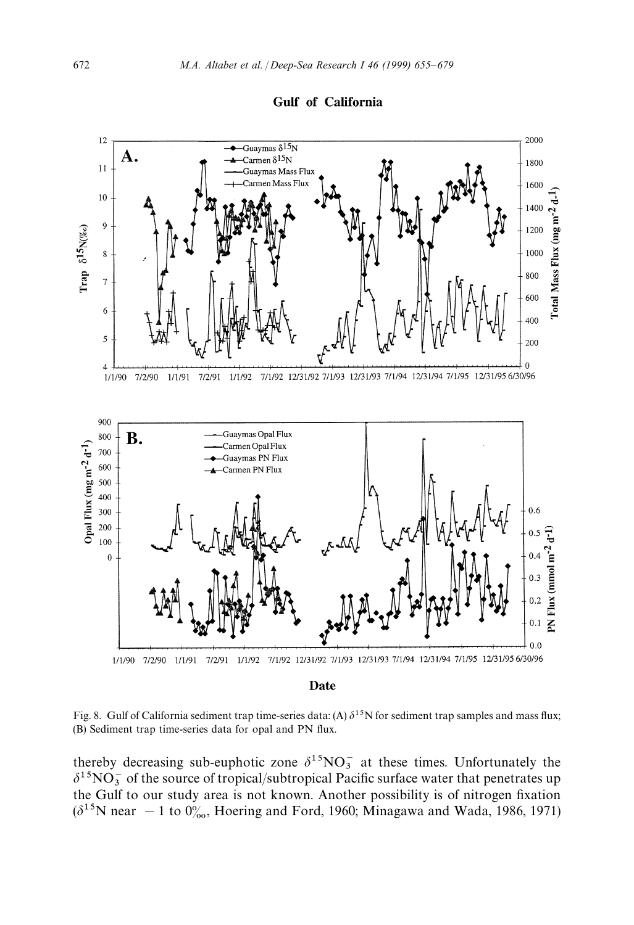



Fig. 8. Gulf of California sediment trap time-series data: (A)  $\delta^{15}N$  for sediment trap samples and mass flux; (B) Sediment trap time-series data for opal and PN flux.

thereby decreasing sub-euphotic zone  $\delta^{15}NO_3^-$  at these times. Unfortunately the  $\delta^{15}NO_3^-$  of the source of tropical/subtropical Pacific surface water that penetrates up the Gulf to our study area is not known. Another possibility is of nitrogen fixation  $(\delta^{15}N$  near  $-1$  to  $0_{\infty}^{\circ}$ , Hoering and Ford, 1960; Minagawa and Wada, 1986, 1971)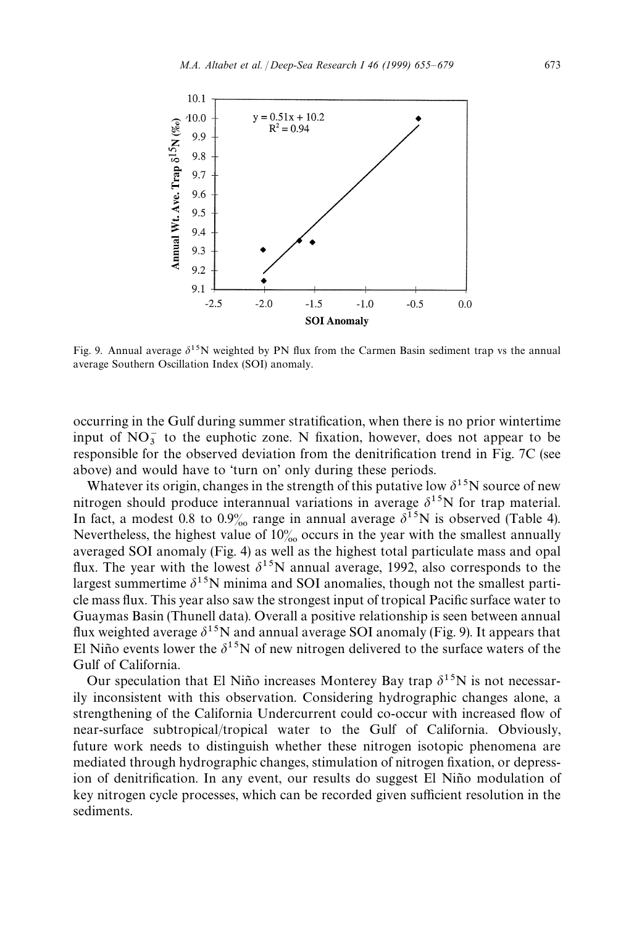

Fig. 9. Annual average  $\delta^{15}N$  weighted by PN flux from the Carmen Basin sediment trap vs the annual average Southern Oscillation Index (SOI) anomaly.

occurring in the Gulf during summer stratification, when there is no prior wintertime input of  $NO_3^-$  to the euphotic zone. N fixation, however, does not appear to be responsible for the observed deviation from the denitrification trend in Fig. 7C (see above) and would have to 'turn on' only during these periods.

Whatever its origin, changes in the strength of this putative low  $\delta^{15}N$  source of new nitrogen should produce interannual variations in average  $\delta^{15}$ N for trap material. In fact, a modest 0.8 to 0.9% range in annual average  $\delta^{15}N$  is observed (Table 4). Nevertheless, the highest value of  $10\%$  occurs in the year with the smallest annually averaged SOI anomaly (Fig. 4) as well as the highest total particulate mass and opal flux. The year with the lowest  $\delta^{15}N$  annual average, 1992, also corresponds to the largest summertime  $\delta^{15}N$  minima and SOI anomalies, though not the smallest particle mass flux. This year also saw the strongest input of tropical Pacific surface water to Guaymas Basin (Thunell data). Overall a positive relationship is seen between annual flux weighted average  $\delta^{15}N$  and annual average SOI anomaly (Fig. 9). It appears that El Niño events lower the  $\delta^{15}N$  of new nitrogen delivered to the surface waters of the Gulf of California.

Our speculation that El Niño increases Monterey Bay trap  $\delta^{15}N$  is not necessarily inconsistent with this observation. Considering hydrographic changes alone, a strengthening of the California Undercurrent could co-occur with increased flow of near-surface subtropical/tropical water to the Gulf of California. Obviously, future work needs to distinguish whether these nitrogen isotopic phenomena are mediated through hydrographic changes, stimulation of nitrogen fixation, or depression of denitrification. In any event, our results do suggest El Niño modulation of key nitrogen cycle processes, which can be recorded given sufficient resolution in the sediments.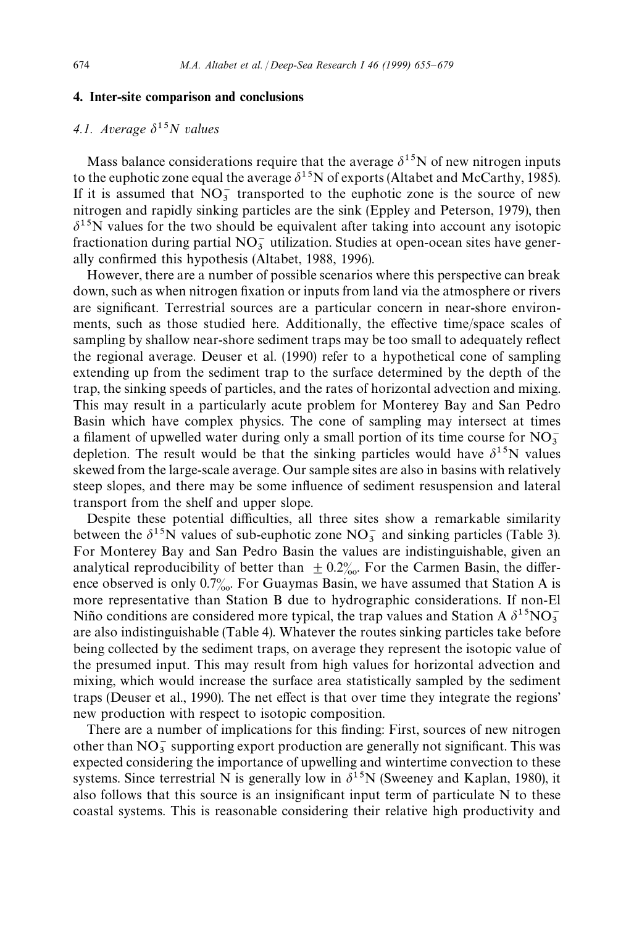#### 4. Inter-site comparison and conclusions

## 4.1. Average  $\delta^{15}N$  values

Mass balance considerations require that the average  $\delta^{15}N$  of new nitrogen inputs to the euphotic zone equal the average  $\delta^{15}N$  of exports (Altabet and McCarthy, 1985). If it is assumed that  $NO_3^-$  transported to the euphotic zone is the source of new nitrogen and rapidly sinking particles are the sink (Eppley and Peterson, 1979), then  $\delta^{15}$ N values for the two should be equivalent after taking into account any isotopic fractionation during partial  $NO<sub>3</sub><sup>-</sup>$  utilization. Studies at open-ocean sites have generally confirmed this hypothesis (Altabet, 1988, 1996).

However, there are a number of possible scenarios where this perspective can break down, such as when nitrogen fixation or inputs from land via the atmosphere or rivers are significant. Terrestrial sources are a particular concern in near-shore environments, such as those studied here. Additionally, the effective time/space scales of sampling by shallow near-shore sediment traps may be too small to adequately reflect the regional average. Deuser et al. (1990) refer to a hypothetical cone of sampling extending up from the sediment trap to the surface determined by the depth of the trap, the sinking speeds of particles, and the rates of horizontal advection and mixing. This may result in a particularly acute problem for Monterey Bay and San Pedro Basin which have complex physics. The cone of sampling may intersect at times a filament of upwelled water during only a small portion of its time course for  $NO<sub>3</sub>$ depletion. The result would be that the sinking particles would have  $\delta^{15}N$  values skewed from the large-scale average. Our sample sites are also in basins with relatively steep slopes, and there may be some influence of sediment resuspension and lateral transport from the shelf and upper slope.

Despite these potential difficulties, all three sites show a remarkable similarity between the  $\delta^{15}$ N values of sub-euphotic zone NO<sub>3</sub> and sinking particles (Table 3). For Monterey Bay and San Pedro Basin the values are indistinguishable, given an analytical reproducibility of better than  $\pm 0.2%$ . For the Carmen Basin, the difference observed is only  $0.7\%$ . For Guaymas Basin, we have assumed that Station A is more representative than Station B due to hydrographic considerations. If non-El Niño conditions are considered more typical, the trap values and Station A  $\delta^{15}NO_3^$ are also indistinguishable (Table 4). Whatever the routes sinking particles take before being collected by the sediment traps, on average they represent the isotopic value of the presumed input. This may result from high values for horizontal advection and mixing, which would increase the surface area statistically sampled by the sediment traps (Deuser et al., 1990). The net effect is that over time they integrate the regions' new production with respect to isotopic composition.

There are a number of implications for this finding: First, sources of new nitrogen other than  $NO_3^-$  supporting export production are generally not significant. This was expected considering the importance of upwelling and wintertime convection to these systems. Since terrestrial N is generally low in  $\delta^{15}N$  (Sweeney and Kaplan, 1980), it also follows that this source is an insignificant input term of particulate N to these coastal systems. This is reasonable considering their relative high productivity and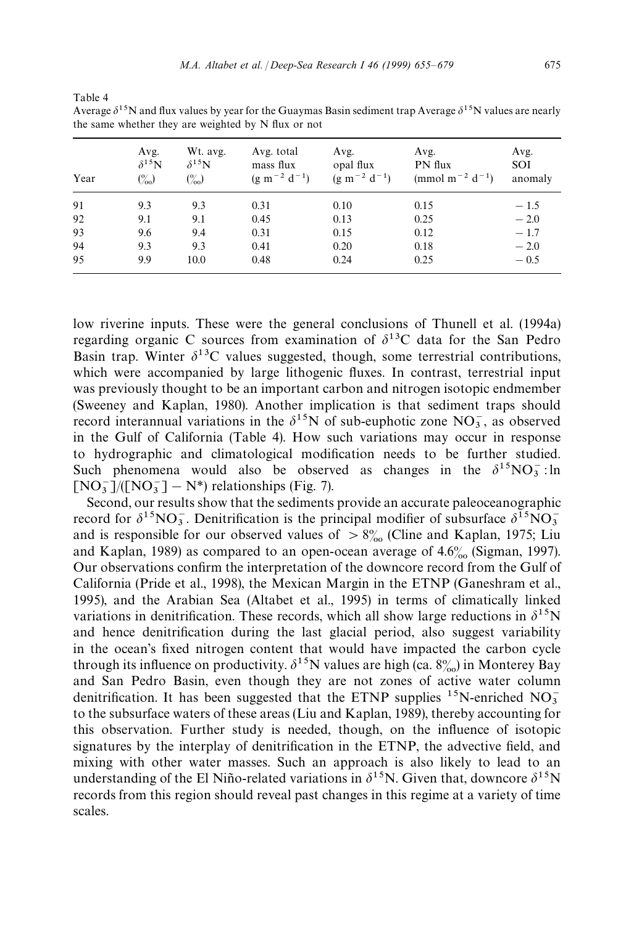| the same whether they are weighted by N flux or not |                                           |                                                |                                                |                                          |                                                            |                        |  |  |
|-----------------------------------------------------|-------------------------------------------|------------------------------------------------|------------------------------------------------|------------------------------------------|------------------------------------------------------------|------------------------|--|--|
| Year                                                | Avg.<br>$\delta^{15}N$<br>$\binom{0}{00}$ | Wt. avg.<br>$\delta^{15}$ N<br>$\binom{0}{00}$ | Avg. total<br>mass flux<br>$(g m^{-2} d^{-1})$ | Avg.<br>opal flux<br>$(g m^{-2} d^{-1})$ | Avg.<br>PN flux<br>(mmol m <sup>-2</sup> d <sup>-1</sup> ) | Avg.<br>SOI<br>anomaly |  |  |
| 91                                                  | 9.3                                       | 9.3                                            | 0.31                                           | 0.10                                     | 0.15                                                       | $-1.5$                 |  |  |
| 92                                                  | 9.1                                       | 9.1                                            | 0.45                                           | 0.13                                     | 0.25                                                       | $-2.0$                 |  |  |
| 93                                                  | 9.6                                       | 9.4                                            | 0.31                                           | 0.15                                     | 0.12                                                       | $-1.7$                 |  |  |
| 94                                                  | 9.3                                       | 9.3                                            | 0.41                                           | 0.20                                     | 0.18                                                       | $-2.0$                 |  |  |
| 95                                                  | 9.9                                       | 10.0                                           | 0.48                                           | 0.24                                     | 0.25                                                       | $-0.5$                 |  |  |

Average  $\delta^{15}$ N and flux values by year for the Guaymas Basin sediment trap Average  $\delta^{15}$ N values are nearly the same whether they are weighted by N flux or not

Table 4

low riverine inputs. These were the general conclusions of Thunell et al. (1994a) regarding organic C sources from examination of  $\delta^{13}$ C data for the San Pedro Basin trap. Winter  $\delta^{13}$ C values suggested, though, some terrestrial contributions, which were accompanied by large lithogenic fluxes. In contrast, terrestrial input was previously thought to be an important carbon and nitrogen isotopic endmember (Sweeney and Kaplan, 1980). Another implication is that sediment traps should record interannual variations in the  $\delta^{15}N$  of sub-euphotic zone  $NO_3^-$ , as observed in the Gulf of California (Table 4). How such variations may occur in response to hydrographic and climatological modification needs to be further studied. Such phenomena would also be observed as changes in the  $\delta^{15}NO_3^-$ : ln  $[NO_3^-]/(NO_3^-] - N^*$ ) relationships (Fig. 7).

Second, our results show that the sediments provide an accurate paleoceanographic record for  $\delta^{15}NO_3^-$ . Denitrification is the principal modifier of subsurface  $\delta^{15}NO_3^$ and is responsible for our observed values of  $> 8\%$  (Cline and Kaplan, 1975; Liu and Kaplan, 1989) as compared to an open-ocean average of  $4.6\%$  (Sigman, 1997). Our observations confirm the interpretation of the downcore record from the Gulf of California (Pride et al., 1998), the Mexican Margin in the ETNP (Ganeshram et al., 1995), and the Arabian Sea (Altabet et al., 1995) in terms of climatically linked variations in denitrification. These records, which all show large reductions in  $\delta^{15}N$ and hence denitrification during the last glacial period, also suggest variability in the ocean's fixed nitrogen content that would have impacted the carbon cycle through its influence on productivity.  $\delta^{15}N$  values are high (ca.  $8\%$ ) in Monterey Bay and San Pedro Basin, even though they are not zones of active water column denitrification. It has been suggested that the ETNP supplies <sup>15</sup>N-enriched NO<sub>3</sub> <sup>3</sup> to the subsurface waters of these areas (Liu and Kaplan, 1989), thereby accounting for this observation. Further study is needed, though, on the influence of isotopic signatures by the interplay of denitrification in the ETNP, the advective field, and mixing with other water masses. Such an approach is also likely to lead to an understanding of the El Niño-related variations in  $\delta^{15}N$ . Given that, downcore  $\delta^{15}N$ records from this region should reveal past changes in this regime at a variety of time scales.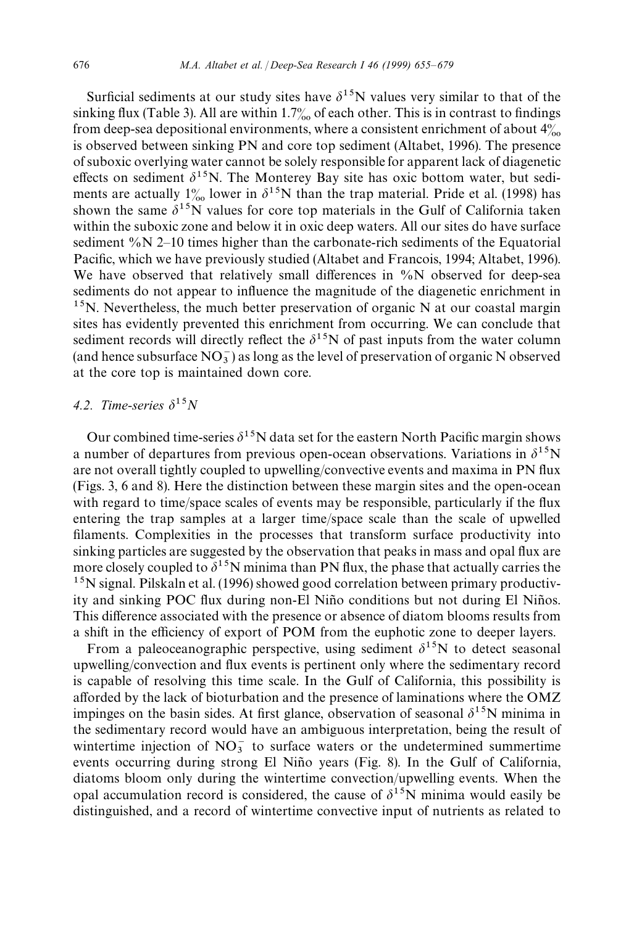Surficial sediments at our study sites have  $\delta^{15}N$  values very similar to that of the sinking flux (Table 3). All are within  $1.7\%$  of each other. This is in contrast to findings from deep-sea depositional environments, where a consistent enrichment of about  $4\%$ is observed between sinking PN and core top sediment (Altabet, 1996). The presence of suboxic overlying water cannot be solely responsible for apparent lack of diagenetic effects on sediment  $\delta^{15}N$ . The Monterey Bay site has oxic bottom water, but sediments are actually  $1\%$  lower in  $\delta^{15}N$  than the trap material. Pride et al. (1998) has shown the same  $\delta^{15}$ N values for core top materials in the Gulf of California taken within the suboxic zone and below it in oxic deep waters. All our sites do have surface sediment %N 2*—*10 times higher than the carbonate-rich sediments of the Equatorial Pacific, which we have previously studied (Altabet and Francois, 1994; Altabet, 1996). We have observed that relatively small differences in %N observed for deep-sea sediments do not appear to influence the magnitude of the diagenetic enrichment in  $15$ N. Nevertheless, the much better preservation of organic N at our coastal margin sites has evidently prevented this enrichment from occurring. We can conclude that sediment records will directly reflect the  $\delta^{15}N$  of past inputs from the water column (and hence subsurface  $NO_3^-$ ) as long as the level of preservation of organic N observed at the core top is maintained down core.

## 4.2. Time-series  $\delta^{15}N$

Our combined time-series  $\delta^{15}N$  data set for the eastern North Pacific margin shows a number of departures from previous open-ocean observations. Variations in  $\delta^{15}N$ are not overall tightly coupled to upwelling/convective events and maxima in PN flux (Figs. 3, 6 and 8). Here the distinction between these margin sites and the open-ocean with regard to time/space scales of events may be responsible, particularly if the flux entering the trap samples at a larger time/space scale than the scale of upwelled filaments. Complexities in the processes that transform surface productivity into sinking particles are suggested by the observation that peaks in mass and opal flux are more closely coupled to  $\delta^{15}N$  minima than PN flux, the phase that actually carries the <sup>15</sup>N signal. Pilskaln et al. (1996) showed good correlation between primary productivity and sinking POC flux during non-El Niño conditions but not during El Niños. This difference associated with the presence or absence of diatom blooms results from a shift in the efficiency of export of POM from the euphotic zone to deeper layers.

From a paleoceanographic perspective, using sediment  $\delta^{15}N$  to detect seasonal upwelling/convection and flux events is pertinent only where the sedimentary record is capable of resolving this time scale. In the Gulf of California, this possibility is afforded by the lack of bioturbation and the presence of laminations where the OMZ impinges on the basin sides. At first glance, observation of seasonal  $\delta^{15}$ N minima in the sedimentary record would have an ambiguous interpretation, being the result of wintertime injection of  $NO_3^-$  to surface waters or the undetermined summertime events occurring during strong El Niño years (Fig. 8). In the Gulf of California, diatoms bloom only during the wintertime convection/upwelling events. When the opal accumulation record is considered, the cause of  $\delta^{15}N$  minima would easily be distinguished, and a record of wintertime convective input of nutrients as related to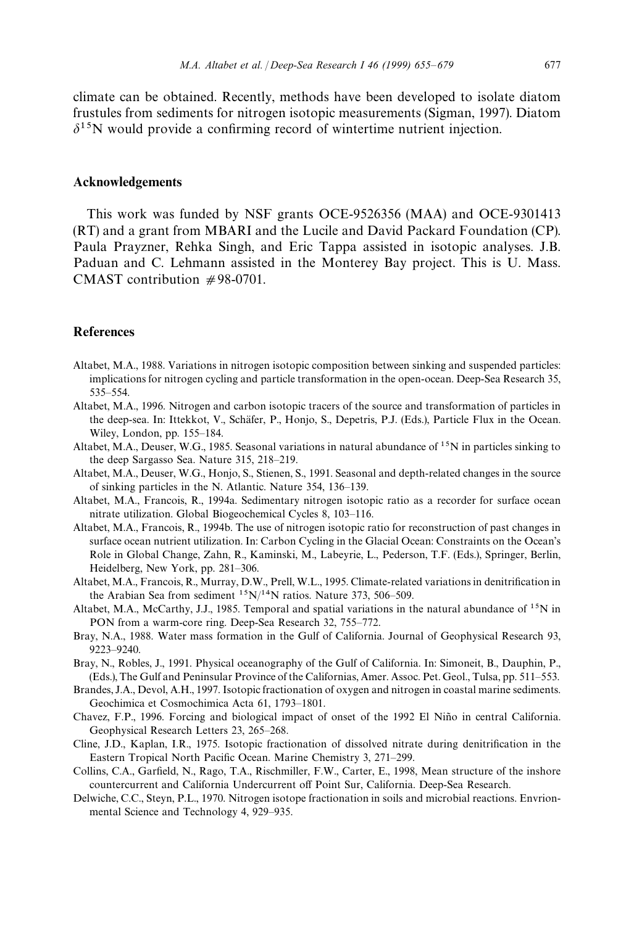climate can be obtained. Recently, methods have been developed to isolate diatom frustules from sediments for nitrogen isotopic measurements (Sigman, 1997). Diatom  $\delta^{15}$ N would provide a confirming record of wintertime nutrient injection.

#### Acknowledgements

This work was funded by NSF grants OCE-9526356 (MAA) and OCE-9301413 (RT) and a grant from MBARI and the Lucile and David Packard Foundation (CP). Paula Prayzner, Rehka Singh, and Eric Tappa assisted in isotopic analyses. J.B. Paduan and C. Lehmann assisted in the Monterey Bay project. This is U. Mass. CMAST contribution  $#98-0701$ .

#### References

- Altabet, M.A., 1988. Variations in nitrogen isotopic composition between sinking and suspended particles: implications for nitrogen cycling and particle transformation in the open-ocean. Deep-Sea Research 35, 535*—*554.
- Altabet, M.A., 1996. Nitrogen and carbon isotopic tracers of the source and transformation of particles in the deep-sea. In: Ittekkot, V., Schäfer, P., Honjo, S., Depetris, P.J. (Eds.), Particle Flux in the Ocean. Wiley, London, pp. 155*—*184.
- Altabet, M.A., Deuser, W.G., 1985. Seasonal variations in natural abundance of  $1<sup>5</sup>N$  in particles sinking to the deep Sargasso Sea. Nature 315, 218*—*219.
- Altabet, M.A., Deuser, W.G., Honjo, S., Stienen, S., 1991. Seasonal and depth-related changes in the source of sinking particles in the N. Atlantic. Nature 354, 136*—*139.
- Altabet, M.A., Francois, R., 1994a. Sedimentary nitrogen isotopic ratio as a recorder for surface ocean nitrate utilization. Global Biogeochemical Cycles 8, 103*—*116.
- Altabet, M.A., Francois, R., 1994b. The use of nitrogen isotopic ratio for reconstruction of past changes in surface ocean nutrient utilization. In: Carbon Cycling in the Glacial Ocean: Constraints on the Ocean's Role in Global Change, Zahn, R., Kaminski, M., Labeyrie, L., Pederson, T.F. (Eds.), Springer, Berlin, Heidelberg, New York, pp. 281*—*306.
- Altabet, M.A., Francois, R., Murray, D.W., Prell, W.L., 1995. Climate-related variations in denitrification in the Arabian Sea from sediment 15N/14N ratios. Nature 373, 506*—*509.
- Altabet, M.A., McCarthy, J.J., 1985. Temporal and spatial variations in the natural abundance of  $^{15}N$  in PON from a warm-core ring. Deep-Sea Research 32, 755*—*772.
- Bray, N.A., 1988. Water mass formation in the Gulf of California. Journal of Geophysical Research 93, 9223*—*9240.
- Bray, N., Robles, J., 1991. Physical oceanography of the Gulf of California. In: Simoneit, B., Dauphin, P., (Eds.), The Gulf and Peninsular Province of the Californias, Amer. Assoc. Pet. Geol., Tulsa, pp. 511*—*553.
- Brandes, J.A., Devol, A.H., 1997. Isotopic fractionation of oxygen and nitrogen in coastal marine sediments. Geochimica et Cosmochimica Acta 61, 1793*—*1801.
- Chavez, F.P., 1996. Forcing and biological impact of onset of the 1992 El Niño in central California. Geophysical Research Letters 23, 265*—*268.
- Cline, J.D., Kaplan, I.R., 1975. Isotopic fractionation of dissolved nitrate during denitrification in the Eastern Tropical North Pacific Ocean. Marine Chemistry 3, 271*—*299.
- Collins, C.A., Garfield, N., Rago, T.A., Rischmiller, F.W., Carter, E., 1998, Mean structure of the inshore countercurrent and California Undercurrent off Point Sur, California. Deep-Sea Research.
- Delwiche, C.C., Steyn, P.L., 1970. Nitrogen isotope fractionation in soils and microbial reactions. Envrionmental Science and Technology 4, 929*—*935.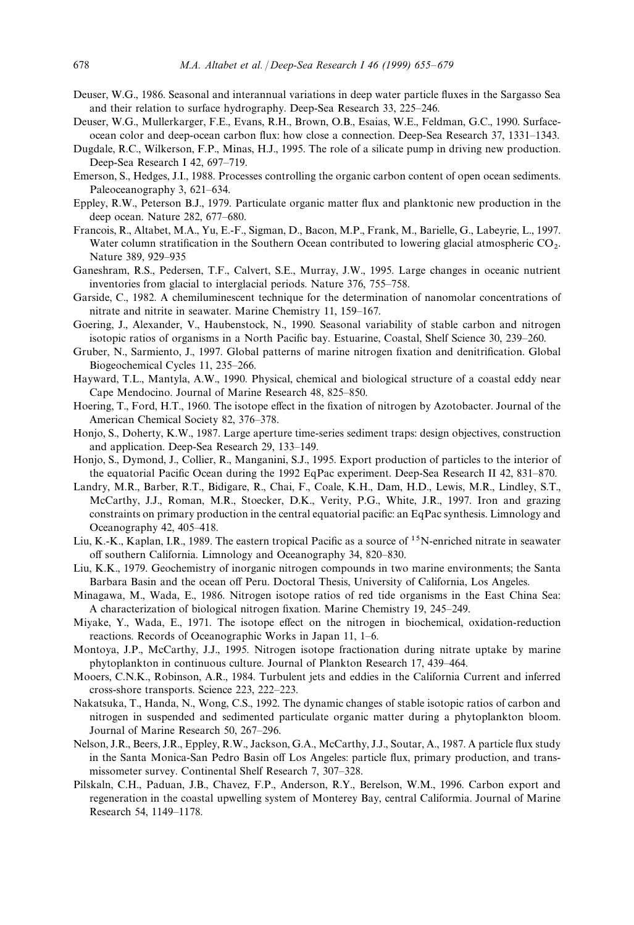- Deuser, W.G., 1986. Seasonal and interannual variations in deep water particle fluxes in the Sargasso Sea and their relation to surface hydrography. Deep-Sea Research 33, 225*—*246.
- Deuser, W.G., Mullerkarger, F.E., Evans, R.H., Brown, O.B., Esaias, W.E., Feldman, G.C., 1990. Surfaceocean color and deep-ocean carbon flux: how close a connection. Deep-Sea Research 37, 1331*—*1343.
- Dugdale, R.C., Wilkerson, F.P., Minas, H.J., 1995. The role of a silicate pump in driving new production. Deep-Sea Research I 42, 697*—*719.
- Emerson, S., Hedges, J.I., 1988. Processes controlling the organic carbon content of open ocean sediments. Paleoceanography 3, 621*—*634.
- Eppley, R.W., Peterson B.J., 1979. Particulate organic matter flux and planktonic new production in the deep ocean. Nature 282, 677*—*680.
- Francois, R., Altabet, M.A., Yu, E.-F., Sigman, D., Bacon, M.P., Frank, M., Barielle, G., Labeyrie, L., 1997. Water column stratification in the Southern Ocean contributed to lowering glacial atmospheric CO<sub>2</sub>. Nature 389, 929*—*935
- Ganeshram, R.S., Pedersen, T.F., Calvert, S.E., Murray, J.W., 1995. Large changes in oceanic nutrient inventories from glacial to interglacial periods. Nature 376, 755*—*758.
- Garside, C., 1982. A chemiluminescent technique for the determination of nanomolar concentrations of nitrate and nitrite in seawater. Marine Chemistry 11, 159*—*167.
- Goering, J., Alexander, V., Haubenstock, N., 1990. Seasonal variability of stable carbon and nitrogen isotopic ratios of organisms in a North Pacific bay. Estuarine, Coastal, Shelf Science 30, 239*—*260.
- Gruber, N., Sarmiento, J., 1997. Global patterns of marine nitrogen fixation and denitrification. Global Biogeochemical Cycles 11, 235*—*266.
- Hayward, T.L., Mantyla, A.W., 1990. Physical, chemical and biological structure of a coastal eddy near Cape Mendocino. Journal of Marine Research 48, 825*—*850.
- Hoering, T., Ford, H.T., 1960. The isotope effect in the fixation of nitrogen by Azotobacter. Journal of the American Chemical Society 82, 376*—*378.
- Honjo, S., Doherty, K.W., 1987. Large aperture time-series sediment traps: design objectives, construction and application. Deep-Sea Research 29, 133*—*149.
- Honjo, S., Dymond, J., Collier, R., Manganini, S.J., 1995. Export production of particles to the interior of the equatorial Pacific Ocean during the 1992 EqPac experiment. Deep-Sea Research II 42, 831*—*870.
- Landry, M.R., Barber, R.T., Bidigare, R., Chai, F., Coale, K.H., Dam, H.D., Lewis, M.R., Lindley, S.T., McCarthy, J.J., Roman, M.R., Stoecker, D.K., Verity, P.G., White, J.R., 1997. Iron and grazing constraints on primary production in the central equatorial pacific: an EqPac synthesis. Limnology and Oceanography 42, 405*—*418.
- Liu, K.-K., Kaplan, I.R., 1989. The eastern tropical Pacific as a source of  $1<sup>5</sup>N$ -enriched nitrate in seawater off southern California. Limnology and Oceanography 34, 820*—*830.
- Liu, K.K., 1979. Geochemistry of inorganic nitrogen compounds in two marine environments; the Santa Barbara Basin and the ocean off Peru. Doctoral Thesis, University of California, Los Angeles.
- Minagawa, M., Wada, E., 1986. Nitrogen isotope ratios of red tide organisms in the East China Sea: A characterization of biological nitrogen fixation. Marine Chemistry 19, 245*—*249.
- Miyake, Y., Wada, E., 1971. The isotope effect on the nitrogen in biochemical, oxidation-reduction reactions. Records of Oceanographic Works in Japan 11, 1*—*6.
- Montoya, J.P., McCarthy, J.J., 1995. Nitrogen isotope fractionation during nitrate uptake by marine phytoplankton in continuous culture. Journal of Plankton Research 17, 439*—*464.
- Mooers, C.N.K., Robinson, A.R., 1984. Turbulent jets and eddies in the California Current and inferred cross-shore transports. Science 223, 222*—*223.
- Nakatsuka, T., Handa, N., Wong, C.S., 1992. The dynamic changes of stable isotopic ratios of carbon and nitrogen in suspended and sedimented particulate organic matter during a phytoplankton bloom. Journal of Marine Research 50, 267*—*296.
- Nelson, J.R., Beers, J.R., Eppley, R.W., Jackson, G.A., McCarthy, J.J., Soutar, A., 1987. A particle flux study in the Santa Monica-San Pedro Basin off Los Angeles: particle flux, primary production, and transmissometer survey. Continental Shelf Research 7, 307*—*328.
- Pilskaln, C.H., Paduan, J.B., Chavez, F.P., Anderson, R.Y., Berelson, W.M., 1996. Carbon export and regeneration in the coastal upwelling system of Monterey Bay, central Califormia. Journal of Marine Research 54, 1149*—*1178.